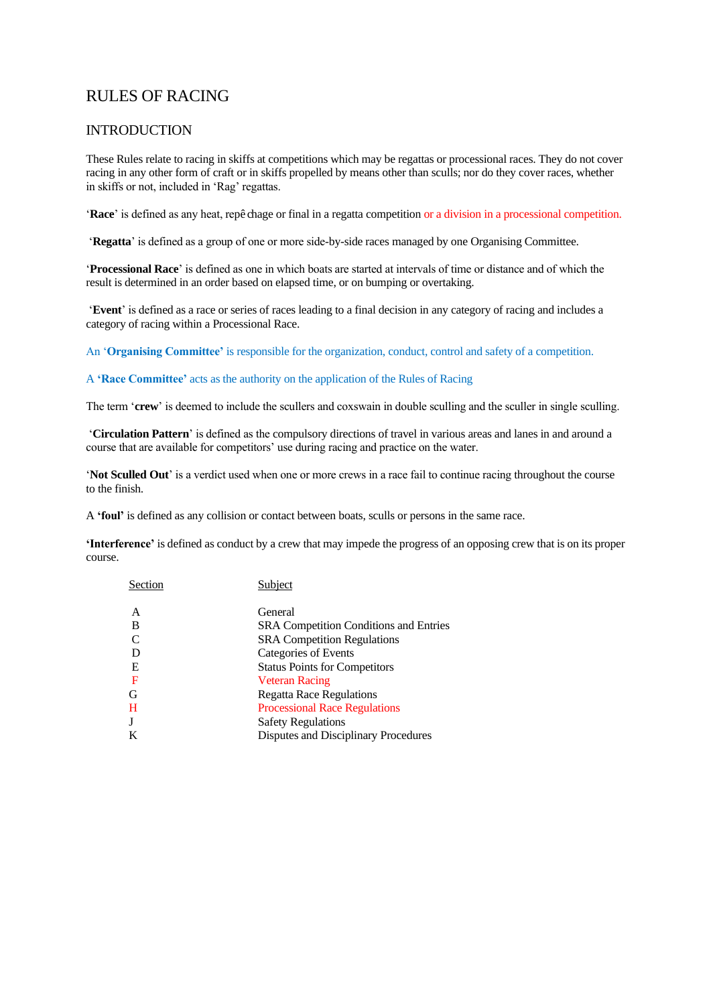# RULES OF RACING

### INTRODUCTION

These Rules relate to racing in skiffs at competitions which may be regattas or processional races. They do not cover racing in any other form of craft or in skiffs propelled by means other than sculls; nor do they cover races, whether in skiffs or not, included in 'Rag' regattas.

'**Race**' is defined as any heat, repê chage or final in a regatta competition or a division in a processional competition.

'**Regatta**' is defined as a group of one or more side-by-side races managed by one Organising Committee.

'**Processional Race**' is defined as one in which boats are started at intervals of time or distance and of which the result is determined in an order based on elapsed time, or on bumping or overtaking.

'**Event**' is defined as a race or series of races leading to a final decision in any category of racing and includes a category of racing within a Processional Race.

An '**Organising Committee'** is responsible for the organization, conduct, control and safety of a competition.

### A **'Race Committee'** acts as the authority on the application of the Rules of Racing

The term '**crew**' is deemed to include the scullers and coxswain in double sculling and the sculler in single sculling.

'**Circulation Pattern**' is defined as the compulsory directions of travel in various areas and lanes in and around a course that are available for competitors' use during racing and practice on the water.

'**Not Sculled Out**' is a verdict used when one or more crews in a race fail to continue racing throughout the course to the finish.

A **'foul'** is defined as any collision or contact between boats, sculls or persons in the same race.

**'Interference'** is defined as conduct by a crew that may impede the progress of an opposing crew that is on its proper course.

| Section | Subject                                       |
|---------|-----------------------------------------------|
| A       | General                                       |
| B       | <b>SRA Competition Conditions and Entries</b> |
|         | <b>SRA Competition Regulations</b>            |
|         | Categories of Events                          |
| Ε       | <b>Status Points for Competitors</b>          |
| F       | <b>Veteran Racing</b>                         |
| G       | <b>Regatta Race Regulations</b>               |
| H       | <b>Processional Race Regulations</b>          |
| J       | <b>Safety Regulations</b>                     |
| K       | Disputes and Disciplinary Procedures          |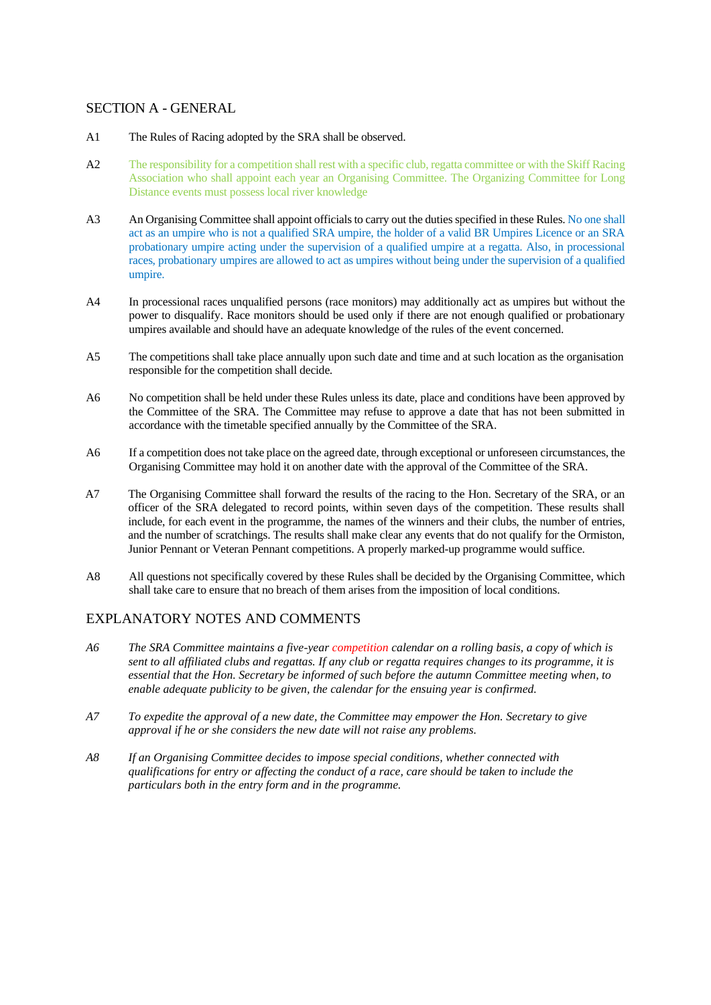### SECTION A - GENERAL

### A1 The Rules of Racing adopted by the SRA shall be observed.

- A2 The responsibility for a competition shall rest with a specific club, regatta committee or with the Skiff Racing Association who shall appoint each year an Organising Committee. The Organizing Committee for Long Distance events must possess local river knowledge
- A3 An Organising Committee shall appoint officials to carry out the duties specified in these Rules. No one shall act as an umpire who is not a qualified SRA umpire, the holder of a valid BR Umpires Licence or an SRA probationary umpire acting under the supervision of a qualified umpire at a regatta. Also, in processional races, probationary umpires are allowed to act as umpires without being under the supervision of a qualified umpire.
- A4 In processional races unqualified persons (race monitors) may additionally act as umpires but without the power to disqualify. Race monitors should be used only if there are not enough qualified or probationary umpires available and should have an adequate knowledge of the rules of the event concerned.
- A5 The competitions shall take place annually upon such date and time and at such location as the organisation responsible for the competition shall decide.
- A6 No competition shall be held under these Rules unless its date, place and conditions have been approved by the Committee of the SRA. The Committee may refuse to approve a date that has not been submitted in accordance with the timetable specified annually by the Committee of the SRA.
- A6 If a competition does not take place on the agreed date, through exceptional or unforeseen circumstances, the Organising Committee may hold it on another date with the approval of the Committee of the SRA.
- A7 The Organising Committee shall forward the results of the racing to the Hon. Secretary of the SRA, or an officer of the SRA delegated to record points, within seven days of the competition. These results shall include, for each event in the programme, the names of the winners and their clubs, the number of entries, and the number of scratchings. The results shall make clear any events that do not qualify for the Ormiston, Junior Pennant or Veteran Pennant competitions. A properly marked-up programme would suffice.
- A8 All questions not specifically covered by these Rules shall be decided by the Organising Committee, which shall take care to ensure that no breach of them arises from the imposition of local conditions.

## EXPLANATORY NOTES AND COMMENTS

- *A6 The SRA Committee maintains a five-year competition calendar on a rolling basis, a copy of which is sent to all affiliated clubs and regattas. If any club or regatta requires changes to its programme, it is essential that the Hon. Secretary be informed of such before the autumn Committee meeting when, to enable adequate publicity to be given, the calendar for the ensuing year is confirmed.*
- *A7 To expedite the approval of a new date, the Committee may empower the Hon. Secretary to give approval if he or she considers the new date will not raise any problems.*
- *A8 If an Organising Committee decides to impose special conditions, whether connected with qualifications for entry or affecting the conduct of a race, care should be taken to include the particulars both in the entry form and in the programme.*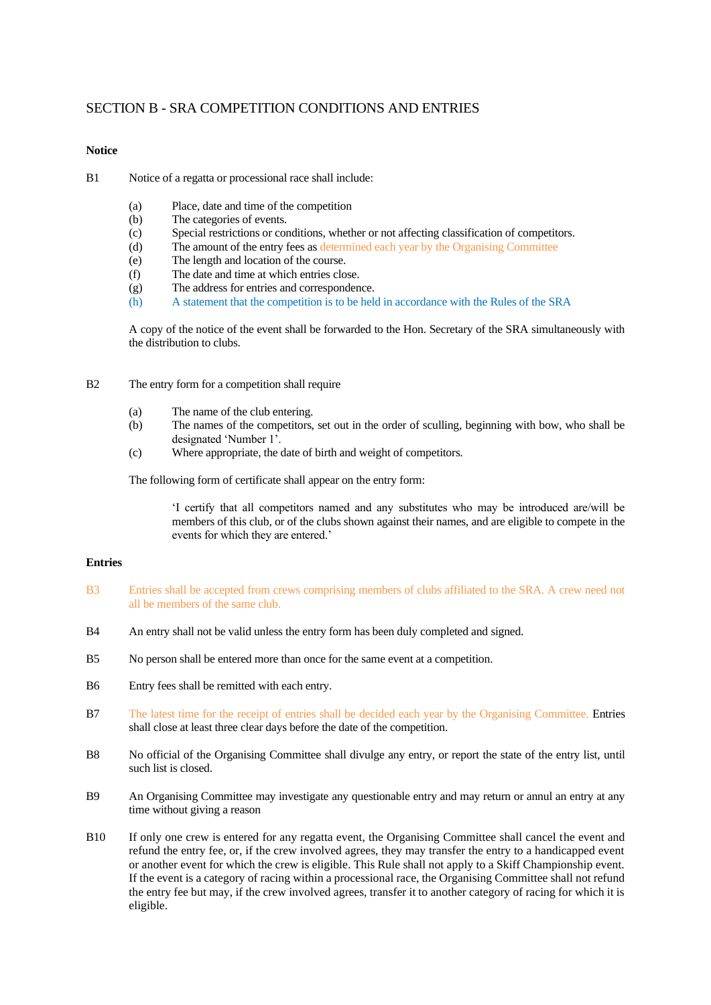### SECTION B - SRA COMPETITION CONDITIONS AND ENTRIES

### **Notice**

- B1 Notice of a regatta or processional race shall include:
	- (a) Place, date and time of the competition
	- (b) The categories of events.
	- (c) Special restrictions or conditions, whether or not affecting classification of competitors.
	- (d) The amount of the entry fees as determined each year by the Organising Committee
	- (e) The length and location of the course.
	- (f) The date and time at which entries close.
	- (g) The address for entries and correspondence.
	- (h) A statement that the competition is to be held in accordance with the Rules of the SRA

A copy of the notice of the event shall be forwarded to the Hon. Secretary of the SRA simultaneously with the distribution to clubs.

- B2 The entry form for a competition shall require
	- (a) The name of the club entering.
	- (b) The names of the competitors, set out in the order of sculling, beginning with bow, who shall be designated 'Number 1'.
	- (c) Where appropriate, the date of birth and weight of competitors.

The following form of certificate shall appear on the entry form:

'I certify that all competitors named and any substitutes who may be introduced are/will be members of this club, or of the clubs shown against their names, and are eligible to compete in the events for which they are entered.'

#### **Entries**

- B3 Entries shall be accepted from crews comprising members of clubs affiliated to the SRA. A crew need not all be members of the same club.
- B4 An entry shall not be valid unless the entry form has been duly completed and signed.
- B5 No person shall be entered more than once for the same event at a competition.
- B6 Entry fees shall be remitted with each entry.
- B7 The latest time for the receipt of entries shall be decided each year by the Organising Committee. Entries shall close at least three clear days before the date of the competition.
- B8 No official of the Organising Committee shall divulge any entry, or report the state of the entry list, until such list is closed.
- B9 An Organising Committee may investigate any questionable entry and may return or annul an entry at any time without giving a reason
- B10 If only one crew is entered for any regatta event, the Organising Committee shall cancel the event and refund the entry fee, or, if the crew involved agrees, they may transfer the entry to a handicapped event or another event for which the crew is eligible. This Rule shall not apply to a Skiff Championship event. If the event is a category of racing within a processional race, the Organising Committee shall not refund the entry fee but may, if the crew involved agrees, transfer it to another category of racing for which it is eligible.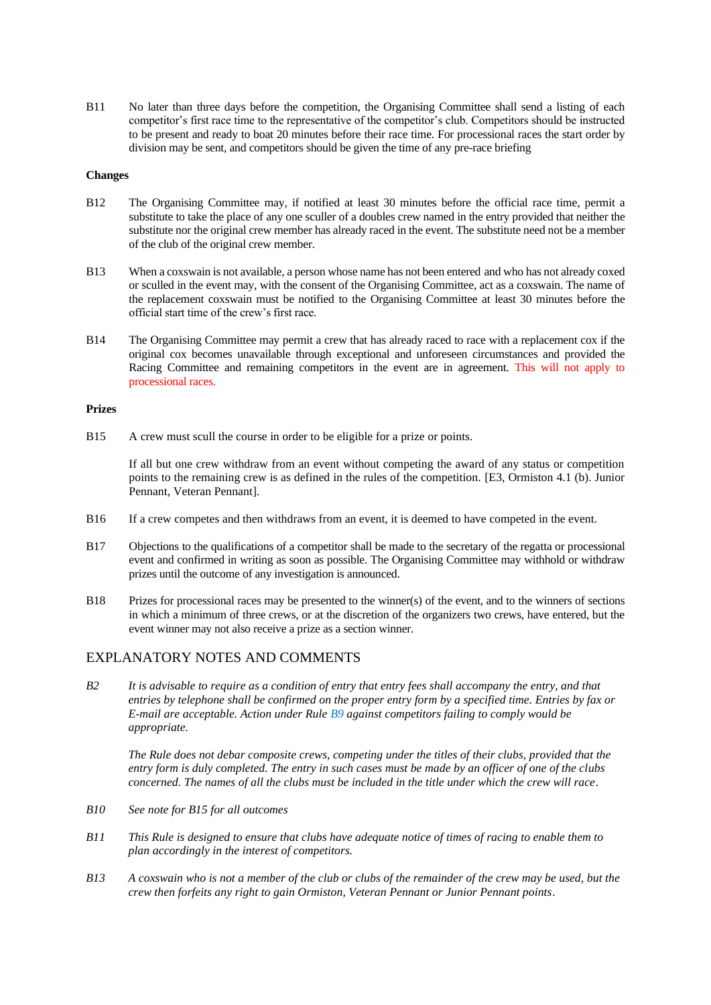B11 No later than three days before the competition, the Organising Committee shall send a listing of each competitor's first race time to the representative of the competitor's club. Competitors should be instructed to be present and ready to boat 20 minutes before their race time. For processional races the start order by division may be sent, and competitors should be given the time of any pre-race briefing

### **Changes**

- B12 The Organising Committee may, if notified at least 30 minutes before the official race time, permit a substitute to take the place of any one sculler of a doubles crew named in the entry provided that neither the substitute nor the original crew member has already raced in the event. The substitute need not be a member of the club of the original crew member.
- B13 When a coxswain is not available, a person whose name has not been entered and who has not already coxed or sculled in the event may, with the consent of the Organising Committee, act as a coxswain. The name of the replacement coxswain must be notified to the Organising Committee at least 30 minutes before the official start time of the crew's first race.
- B14 The Organising Committee may permit a crew that has already raced to race with a replacement cox if the original cox becomes unavailable through exceptional and unforeseen circumstances and provided the Racing Committee and remaining competitors in the event are in agreement. This will not apply to processional races.

### **Prizes**

B15 A crew must scull the course in order to be eligible for a prize or points.

If all but one crew withdraw from an event without competing the award of any status or competition points to the remaining crew is as defined in the rules of the competition. [E3, Ormiston 4.1 (b). Junior Pennant, Veteran Pennant].

- B16 If a crew competes and then withdraws from an event, it is deemed to have competed in the event.
- B17 Objections to the qualifications of a competitor shall be made to the secretary of the regatta or processional event and confirmed in writing as soon as possible. The Organising Committee may withhold or withdraw prizes until the outcome of any investigation is announced.
- B18 Prizes for processional races may be presented to the winner(s) of the event, and to the winners of sections in which a minimum of three crews, or at the discretion of the organizers two crews, have entered, but the event winner may not also receive a prize as a section winner.

### EXPLANATORY NOTES AND COMMENTS

*B2 It is advisable to require as a condition of entry that entry fees shall accompany the entry, and that entries by telephone shall be confirmed on the proper entry form by a specified time. Entries by fax or E-mail are acceptable. Action under Rule B9 against competitors failing to comply would be appropriate.*

*The Rule does not debar composite crews, competing under the titles of their clubs, provided that the entry form is duly completed. The entry in such cases must be made by an officer of one of the clubs concerned. The names of all the clubs must be included in the title under which the crew will race*.

- *B10 See note for B15 for all outcomes*
- *B11 This Rule is designed to ensure that clubs have adequate notice of times of racing to enable them to plan accordingly in the interest of competitors.*
- *B13 A coxswain who is not a member of the club or clubs of the remainder of the crew may be used, but the crew then forfeits any right to gain Ormiston, Veteran Pennant or Junior Pennant points*.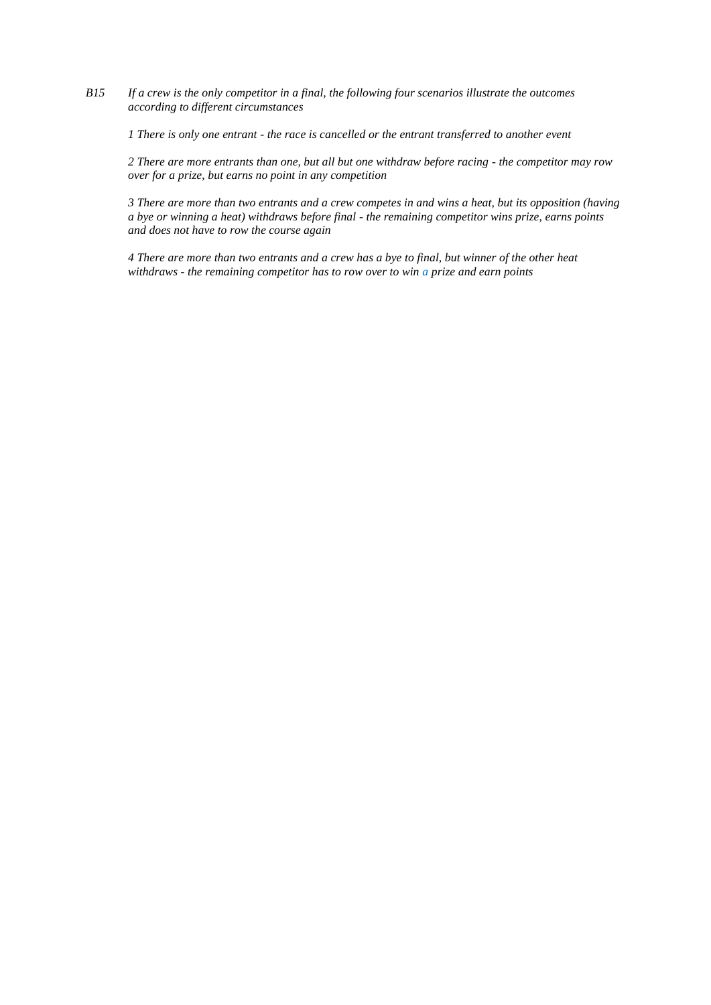*B15 If a crew is the only competitor in a final, the following four scenarios illustrate the outcomes according to different circumstances* 

*1 There is only one entrant - the race is cancelled or the entrant transferred to another event*

*2 There are more entrants than one, but all but one withdraw before racing - the competitor may row over for a prize, but earns no point in any competition*

*3 There are more than two entrants and a crew competes in and wins a heat, but its opposition (having a bye or winning a heat) withdraws before final - the remaining competitor wins prize, earns points and does not have to row the course again* 

*4 There are more than two entrants and a crew has a bye to final, but winner of the other heat withdraws - the remaining competitor has to row over to win a prize and earn points*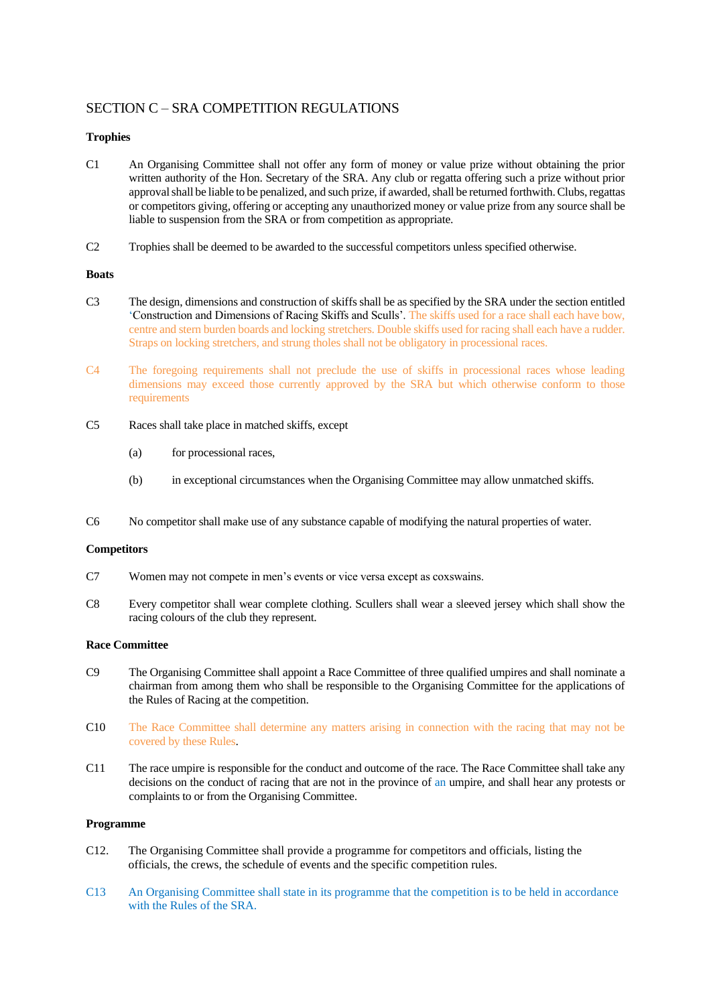## SECTION C – SRA COMPETITION REGULATIONS

### **Trophies**

- C1 An Organising Committee shall not offer any form of money or value prize without obtaining the prior written authority of the Hon. Secretary of the SRA. Any club or regatta offering such a prize without prior approval shall be liable to be penalized, and such prize, if awarded, shall be returned forthwith. Clubs, regattas or competitors giving, offering or accepting any unauthorized money or value prize from any source shall be liable to suspension from the SRA or from competition as appropriate.
- C2 Trophies shall be deemed to be awarded to the successful competitors unless specified otherwise.

### **Boats**

- C3 The design, dimensions and construction of skiffs shall be as specified by the SRA under the section entitled 'Construction and Dimensions of Racing Skiffs and Sculls'. The skiffs used for a race shall each have bow, centre and stern burden boards and locking stretchers. Double skiffs used for racing shall each have a rudder. Straps on locking stretchers, and strung tholes shall not be obligatory in processional races.
- C4 The foregoing requirements shall not preclude the use of skiffs in processional races whose leading dimensions may exceed those currently approved by the SRA but which otherwise conform to those requirements
- C5 Races shall take place in matched skiffs, except
	- (a) for processional races,
	- (b) in exceptional circumstances when the Organising Committee may allow unmatched skiffs.
- C6 No competitor shall make use of any substance capable of modifying the natural properties of water.

#### **Competitors**

- C7 Women may not compete in men's events or vice versa except as coxswains.
- C8 Every competitor shall wear complete clothing. Scullers shall wear a sleeved jersey which shall show the racing colours of the club they represent.

### **Race Committee**

- C9 The Organising Committee shall appoint a Race Committee of three qualified umpires and shall nominate a chairman from among them who shall be responsible to the Organising Committee for the applications of the Rules of Racing at the competition.
- C10 The Race Committee shall determine any matters arising in connection with the racing that may not be covered by these Rules.
- C11 The race umpire is responsible for the conduct and outcome of the race. The Race Committee shall take any decisions on the conduct of racing that are not in the province of an umpire, and shall hear any protests or complaints to or from the Organising Committee.

#### **Programme**

- C12. The Organising Committee shall provide a programme for competitors and officials, listing the officials, the crews, the schedule of events and the specific competition rules.
- C13 An Organising Committee shall state in its programme that the competition is to be held in accordance with the Rules of the SRA.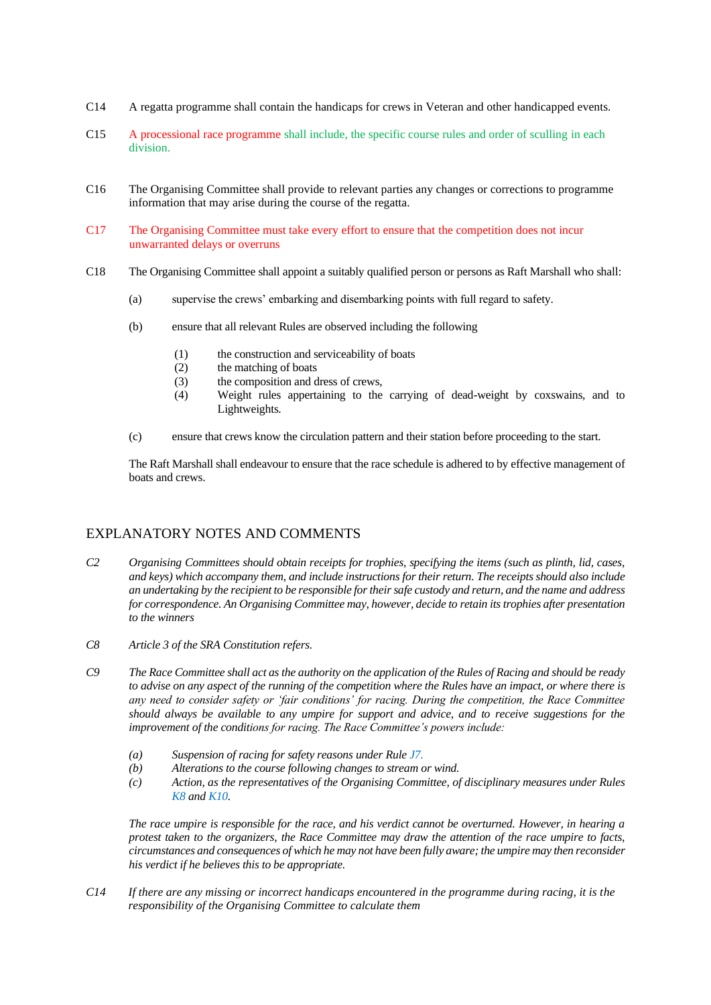- C14 A regatta programme shall contain the handicaps for crews in Veteran and other handicapped events.
- C15 A processional race programme shall include, the specific course rules and order of sculling in each division.
- C16 The Organising Committee shall provide to relevant parties any changes or corrections to programme information that may arise during the course of the regatta.
- C17 The Organising Committee must take every effort to ensure that the competition does not incur unwarranted delays or overruns
- C18 The Organising Committee shall appoint a suitably qualified person or persons as Raft Marshall who shall:
	- (a) supervise the crews' embarking and disembarking points with full regard to safety.
	- (b) ensure that all relevant Rules are observed including the following
		- (1) the construction and serviceability of boats
		- (2) the matching of boats
		- (3) the composition and dress of crews,
		- (4) Weight rules appertaining to the carrying of dead-weight by coxswains, and to Lightweights.
	- (c) ensure that crews know the circulation pattern and their station before proceeding to the start.

The Raft Marshall shall endeavour to ensure that the race schedule is adhered to by effective management of boats and crews.

## EXPLANATORY NOTES AND COMMENTS

- *C2 Organising Committees should obtain receipts for trophies, specifying the items (such as plinth, lid, cases, and keys) which accompany them, and include instructions for their return. The receipts should also include an undertaking by the recipient to be responsible for their safe custody and return, and the name and address for correspondence. An Organising Committee may, however, decide to retain its trophies after presentation to the winners*
- *C8 Article 3 of the SRA Constitution refers.*
- *C9 The Race Committee shall act as the authority on the application of the Rules of Racing and should be ready to advise on any aspect of the running of the competition where the Rules have an impact, or where there is any need to consider safety or 'fair conditions' for racing. During the competition, the Race Committee should always be available to any umpire for support and advice, and to receive suggestions for the improvement of the conditions for racing. The Race Committee's powers include:*
	- *(a) Suspension of racing for safety reasons under Rule J7.*
	- *(b) Alterations to the course following changes to stream or wind.*
	- *(c) Action, as the representatives of the Organising Committee, of disciplinary measures under Rules K8 and K10.*

*The race umpire is responsible for the race, and his verdict cannot be overturned. However, in hearing a protest taken to the organizers, the Race Committee may draw the attention of the race umpire to facts, circumstances and consequences of which he may not have been fully aware; the umpire may then reconsider his verdict if he believes this to be appropriate.*

*C14 If there are any missing or incorrect handicaps encountered in the programme during racing, it is the responsibility of the Organising Committee to calculate them*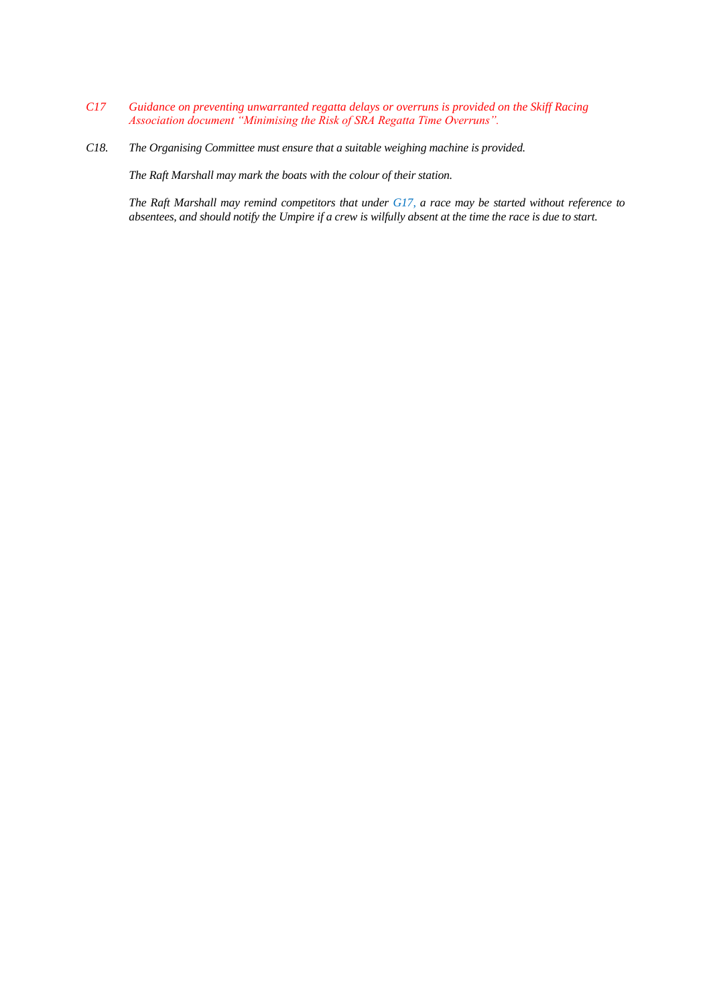- *C17 Guidance on preventing unwarranted regatta delays or overruns is provided on the Skiff Racing Association document "Minimising the Risk of SRA Regatta Time Overruns".*
- *C18. The Organising Committee must ensure that a suitable weighing machine is provided.*

*The Raft Marshall may mark the boats with the colour of their station.*

*The Raft Marshall may remind competitors that under G17, a race may be started without reference to absentees, and should notify the Umpire if a crew is wilfully absent at the time the race is due to start.*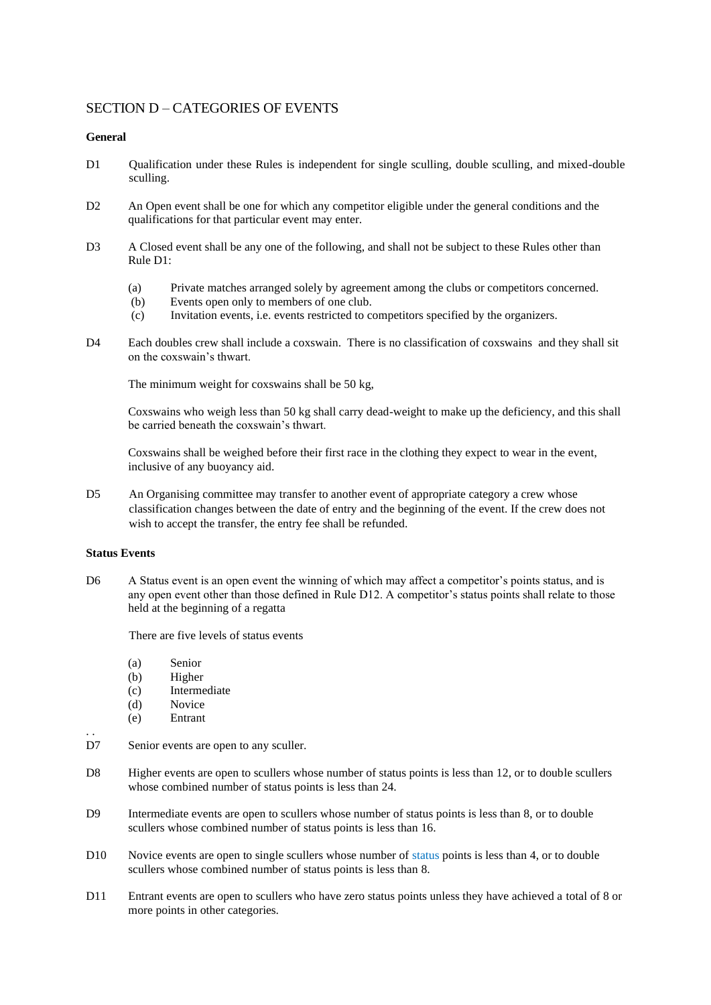### SECTION D – CATEGORIES OF EVENTS

### **General**

- D1 Oualification under these Rules is independent for single sculling, double sculling, and mixed-double sculling.
- D2 An Open event shall be one for which any competitor eligible under the general conditions and the qualifications for that particular event may enter.
- D3 A Closed event shall be any one of the following, and shall not be subject to these Rules other than Rule D1:
	- (a) Private matches arranged solely by agreement among the clubs or competitors concerned.
	- (b) Events open only to members of one club.
	- (c) Invitation events, i.e. events restricted to competitors specified by the organizers.
- D4 Each doubles crew shall include a coxswain. There is no classification of coxswains and they shall sit on the coxswain's thwart.

The minimum weight for coxswains shall be 50 kg,

Coxswains who weigh less than 50 kg shall carry dead-weight to make up the deficiency, and this shall be carried beneath the coxswain's thwart.

Coxswains shall be weighed before their first race in the clothing they expect to wear in the event, inclusive of any buoyancy aid.

D5 An Organising committee may transfer to another event of appropriate category a crew whose classification changes between the date of entry and the beginning of the event. If the crew does not wish to accept the transfer, the entry fee shall be refunded.

#### **Status Events**

. .

D6 A Status event is an open event the winning of which may affect a competitor's points status, and is any open event other than those defined in Rule D12. A competitor's status points shall relate to those held at the beginning of a regatta

There are five levels of status events

- (a) Senior
- (b) Higher
- (c) Intermediate
- (d) Novice
- (e) Entrant
- D7 Senior events are open to any sculler.
- D8 Higher events are open to scullers whose number of status points is less than 12, or to double scullers whose combined number of status points is less than 24.
- D9 Intermediate events are open to scullers whose number of status points is less than 8, or to double scullers whose combined number of status points is less than 16.
- D10 Novice events are open to single scullers whose number of status points is less than 4, or to double scullers whose combined number of status points is less than 8.
- D11 Entrant events are open to scullers who have zero status points unless they have achieved a total of 8 or more points in other categories.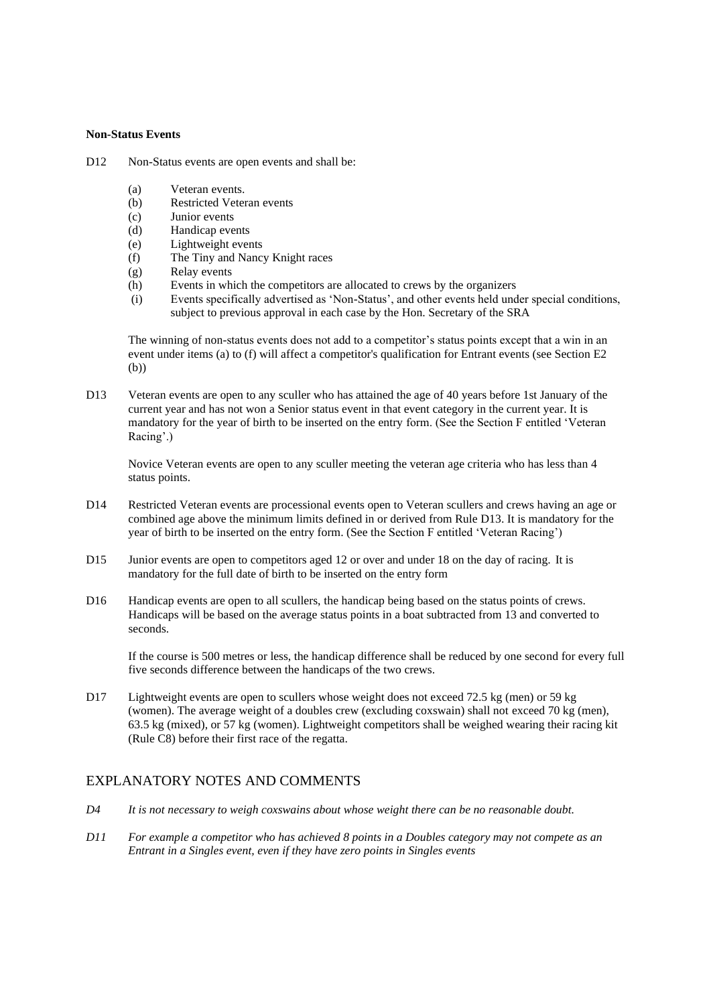#### **Non-Status Events**

D12 Non-Status events are open events and shall be:

- (a) Veteran events.
- (b) Restricted Veteran events
- (c) Junior events
- (d) Handicap events
- (e) Lightweight events
- (f) The Tiny and Nancy Knight races
- (g) Relay events
- (h) Events in which the competitors are allocated to crews by the organizers
- (i) Events specifically advertised as 'Non-Status', and other events held under special conditions, subject to previous approval in each case by the Hon. Secretary of the SRA

The winning of non-status events does not add to a competitor's status points except that a win in an event under items (a) to (f) will affect a competitor's qualification for Entrant events (see Section E2 (b))

D13 Veteran events are open to any sculler who has attained the age of 40 years before 1st January of the current year and has not won a Senior status event in that event category in the current year. It is mandatory for the year of birth to be inserted on the entry form. (See the Section F entitled 'Veteran Racing'.)

Novice Veteran events are open to any sculler meeting the veteran age criteria who has less than 4 status points.

- D14 Restricted Veteran events are processional events open to Veteran scullers and crews having an age or combined age above the minimum limits defined in or derived from Rule D13. It is mandatory for the year of birth to be inserted on the entry form. (See the Section F entitled 'Veteran Racing')
- D15 Junior events are open to competitors aged 12 or over and under 18 on the day of racing. It is mandatory for the full date of birth to be inserted on the entry form
- D16 Handicap events are open to all scullers, the handicap being based on the status points of crews. Handicaps will be based on the average status points in a boat subtracted from 13 and converted to seconds.

If the course is 500 metres or less, the handicap difference shall be reduced by one second for every full five seconds difference between the handicaps of the two crews.

D17 Lightweight events are open to scullers whose weight does not exceed 72.5 kg (men) or 59 kg (women). The average weight of a doubles crew (excluding coxswain) shall not exceed 70 kg (men), 63.5 kg (mixed), or 57 kg (women). Lightweight competitors shall be weighed wearing their racing kit (Rule C8) before their first race of the regatta.

### EXPLANATORY NOTES AND COMMENTS

- *D4 It is not necessary to weigh coxswains about whose weight there can be no reasonable doubt.*
- *D11 For example a competitor who has achieved 8 points in a Doubles category may not compete as an Entrant in a Singles event, even if they have zero points in Singles events*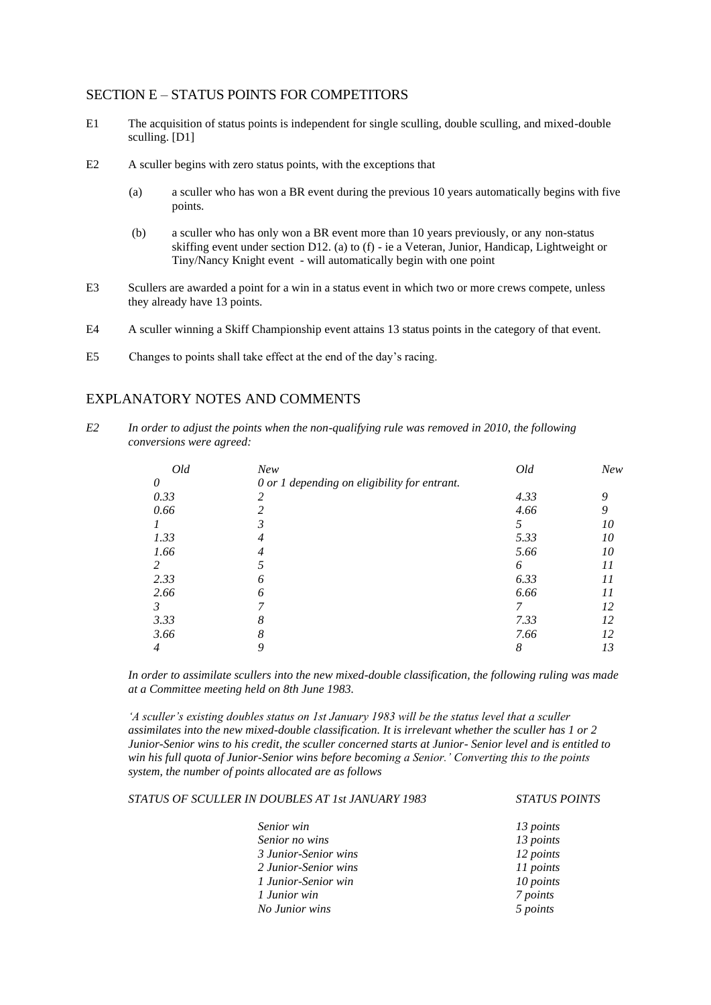### SECTION E – STATUS POINTS FOR COMPETITORS

- E1 The acquisition of status points is independent for single sculling, double sculling, and mixed-double sculling. [D1]
- E2 A sculler begins with zero status points, with the exceptions that
	- (a) a sculler who has won a BR event during the previous 10 years automatically begins with five points.
	- (b) a sculler who has only won a BR event more than 10 years previously, or any non-status skiffing event under section D12. (a) to (f) - ie a Veteran, Junior, Handicap, Lightweight or Tiny/Nancy Knight event - will automatically begin with one point
- E3 Scullers are awarded a point for a win in a status event in which two or more crews compete, unless they already have 13 points.
- E4 A sculler winning a Skiff Championship event attains 13 status points in the category of that event.
- E5 Changes to points shall take effect at the end of the day's racing.

## EXPLANATORY NOTES AND COMMENTS

*E2 In order to adjust the points when the non-qualifying rule was removed in 2010, the following conversions were agreed:* 

| Old            | New                                          | Old  | <b>New</b> |
|----------------|----------------------------------------------|------|------------|
| 0              | 0 or 1 depending on eligibility for entrant. |      |            |
| 0.33           |                                              | 4.33 | 9          |
| 0.66           |                                              | 4.66 | O,         |
|                |                                              |      | 10         |
| 1.33           |                                              | 5.33 | 10         |
| 1.66           |                                              | 5.66 | 10         |
| $\overline{c}$ |                                              | 6    | 11         |
| 2.33           | n                                            | 6.33 | 11         |
| 2.66           |                                              | 6.66 | 11         |
| 3              |                                              |      | 12         |
| 3.33           | 8                                            | 7.33 | 12         |
| 3.66           |                                              | 7.66 | 12         |
| 4              |                                              | 8    | 13         |

*In order to assimilate scullers into the new mixed-double classification, the following ruling was made at a Committee meeting held on 8th June 1983.* 

*'A sculler's existing doubles status on 1st January 1983 will be the status level that a sculler assimilates into the new mixed-double classification. It is irrelevant whether the sculler has 1 or 2 Junior-Senior wins to his credit, the sculler concerned starts at Junior- Senior level and is entitled to win his full quota of Junior-Senior wins before becoming a Senior.' Converting this to the points system, the number of points allocated are as follows*

*STATUS OF SCULLER IN DOUBLES AT 1st JANUARY 1983 STATUS POINTS*

| Senior win           | 13 points |
|----------------------|-----------|
| Senior no wins       | 13 points |
| 3 Junior-Senior wins | 12 points |
| 2 Junior-Senior wins | 11 points |
| 1 Junior-Senior win  | 10 points |
| 1 Junior win         | 7 points  |
| No Junior wins       | 5 points  |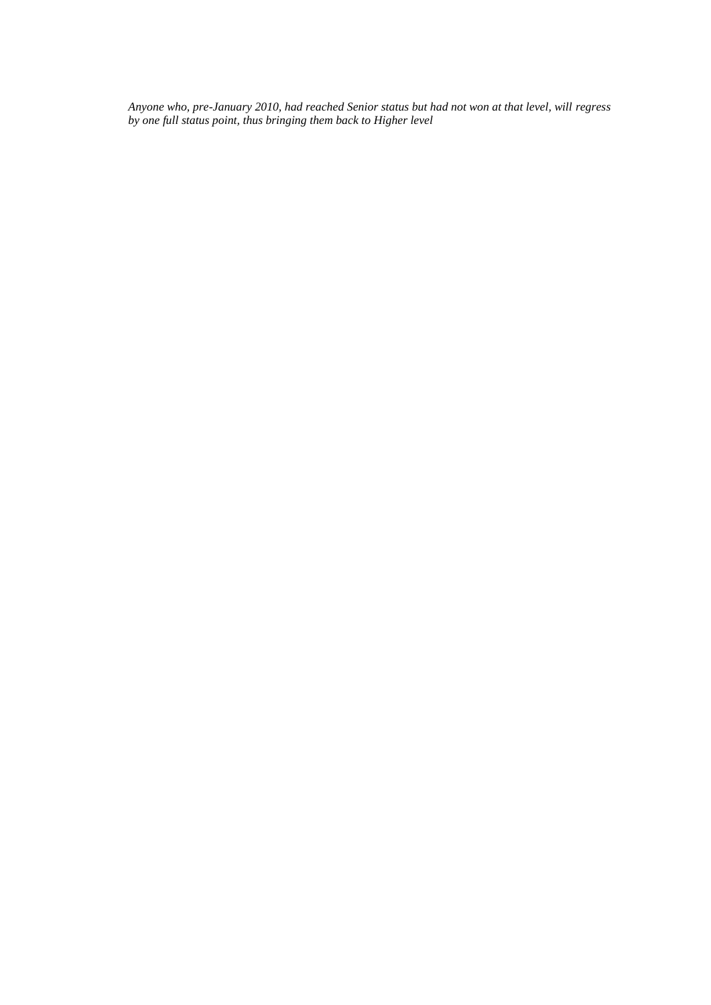*Anyone who, pre-January 2010, had reached Senior status but had not won at that level, will regress by one full status point, thus bringing them back to Higher level*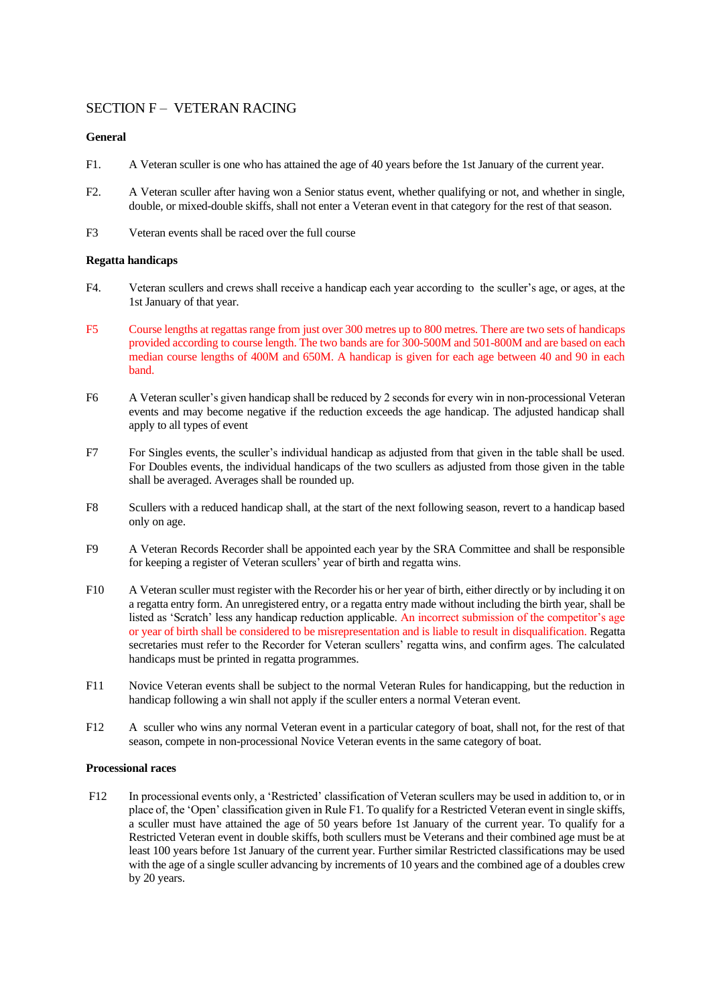### SECTION F – VETERAN RACING

### **General**

- F1. A Veteran sculler is one who has attained the age of 40 years before the 1st January of the current year.
- F2. A Veteran sculler after having won a Senior status event, whether qualifying or not, and whether in single, double, or mixed-double skiffs, shall not enter a Veteran event in that category for the rest of that season.
- F3 Veteran events shall be raced over the full course

### **Regatta handicaps**

- F4. Veteran scullers and crews shall receive a handicap each year according to the sculler's age, or ages, at the 1st January of that year.
- F5 Course lengths at regattas range from just over 300 metres up to 800 metres. There are two sets of handicaps provided according to course length. The two bands are for 300-500M and 501-800M and are based on each median course lengths of 400M and 650M. A handicap is given for each age between 40 and 90 in each band.
- F6 A Veteran sculler's given handicap shall be reduced by 2 seconds for every win in non-processional Veteran events and may become negative if the reduction exceeds the age handicap. The adjusted handicap shall apply to all types of event
- F7 For Singles events, the sculler's individual handicap as adjusted from that given in the table shall be used. For Doubles events, the individual handicaps of the two scullers as adjusted from those given in the table shall be averaged. Averages shall be rounded up.
- F8 Scullers with a reduced handicap shall, at the start of the next following season, revert to a handicap based only on age.
- F9 A Veteran Records Recorder shall be appointed each year by the SRA Committee and shall be responsible for keeping a register of Veteran scullers' year of birth and regatta wins.
- F10 A Veteran sculler must register with the Recorder his or her year of birth, either directly or by including it on a regatta entry form. An unregistered entry, or a regatta entry made without including the birth year, shall be listed as 'Scratch' less any handicap reduction applicable. An incorrect submission of the competitor's age or year of birth shall be considered to be misrepresentation and is liable to result in disqualification. Regatta secretaries must refer to the Recorder for Veteran scullers' regatta wins, and confirm ages. The calculated handicaps must be printed in regatta programmes.
- F11 Novice Veteran events shall be subject to the normal Veteran Rules for handicapping, but the reduction in handicap following a win shall not apply if the sculler enters a normal Veteran event.
- F12 A sculler who wins any normal Veteran event in a particular category of boat, shall not, for the rest of that season, compete in non-processional Novice Veteran events in the same category of boat.

### **Processional races**

F12 In processional events only, a 'Restricted' classification of Veteran scullers may be used in addition to, or in place of, the 'Open' classification given in Rule F1. To qualify for a Restricted Veteran event in single skiffs, a sculler must have attained the age of 50 years before 1st January of the current year. To qualify for a Restricted Veteran event in double skiffs, both scullers must be Veterans and their combined age must be at least 100 years before 1st January of the current year. Further similar Restricted classifications may be used with the age of a single sculler advancing by increments of 10 years and the combined age of a doubles crew by 20 years.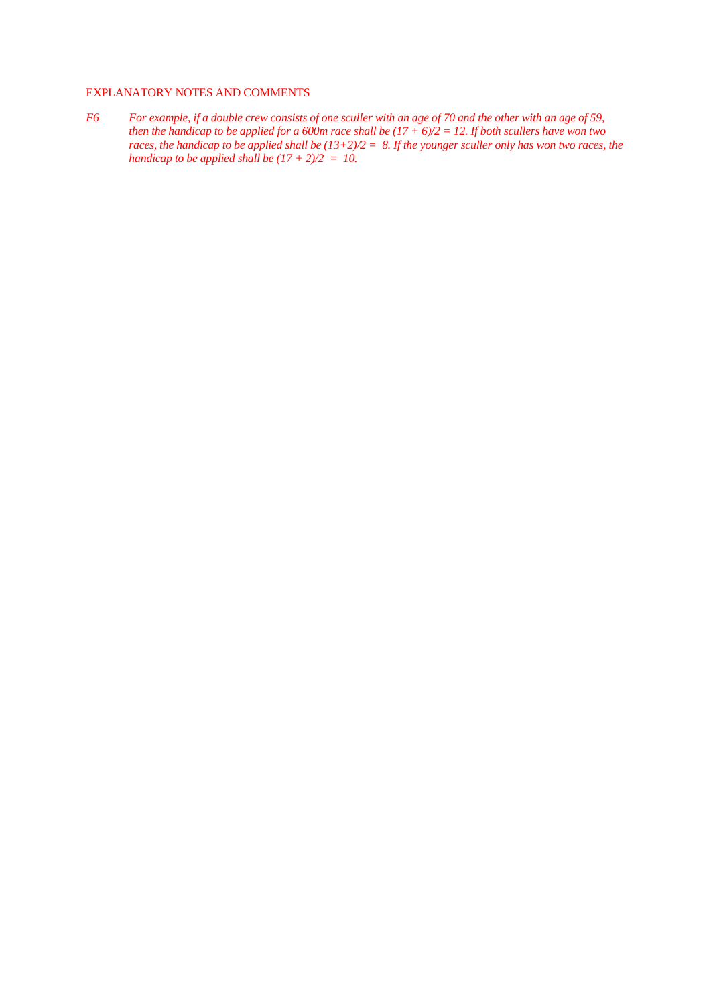### EXPLANATORY NOTES AND COMMENTS

*F6 For example, if a double crew consists of one sculler with an age of 70 and the other with an age of 59, then the handicap to be applied for a 600m race shall be*  $(17 + 6)/2 = 12$ *. If both scullers have won two races, the handicap to be applied shall be (13+2)/2 = 8. If the younger sculler only has won two races, the handicap to be applied shall be (17 + 2)/2 = 10.*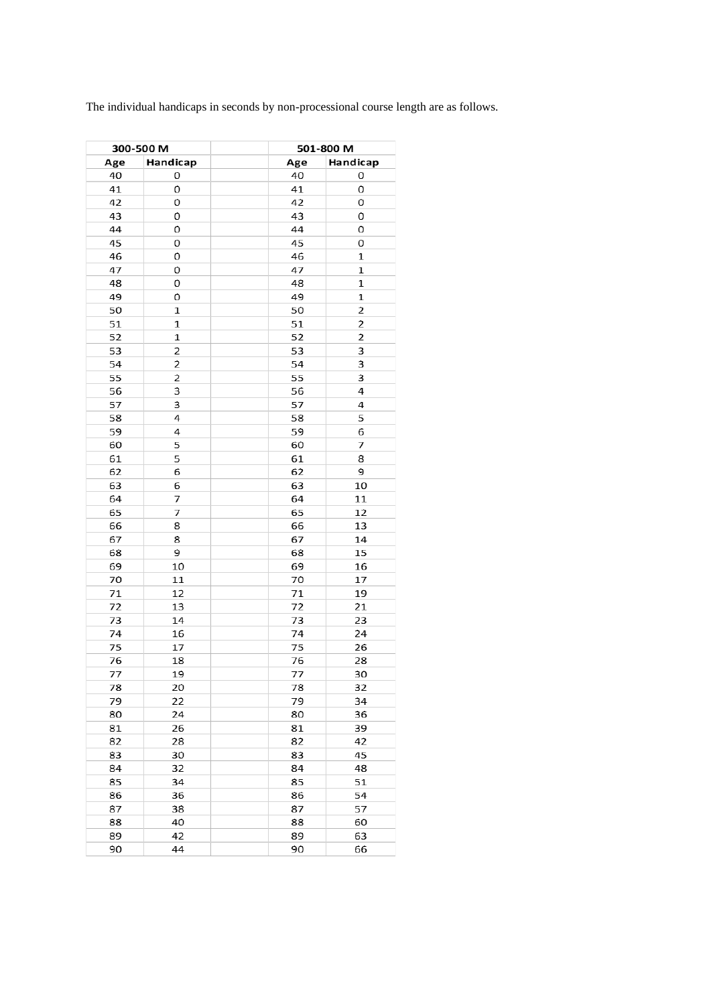The individual handicaps in seconds by non-processional course length are as follows.

| 300-500 M |                |          | 501-800 M      |
|-----------|----------------|----------|----------------|
| Age       | Handicap       | Age      | Handicap       |
| 40        | 0              | 40       | 0              |
| 41        | 0              | 41       | 0              |
| 42        | 0              | 42       | 0              |
| 43        | 0              | 43       | 0              |
| 44        | 0              | 44       | 0              |
| 45        | 0              | 45       | 0              |
| 46        | 0              | 46       | 1              |
|           | 0              | 47       | $\mathbf 1$    |
| 47        |                |          |                |
| 48        | 0              | 48       | $\mathbf 1$    |
| 49        | 0              | 49       | $\mathbf 1$    |
| 50        | $\mathbf 1$    | 50       | $\overline{2}$ |
| 51        | 1              | 51       | $\overline{2}$ |
| 52        | 1              | 52       | $\overline{2}$ |
| 53        | $\overline{2}$ | 53       | 3              |
| 54        | $\overline{c}$ | 54       | 3              |
| 55        | $\overline{2}$ | 55       | 3              |
| 56        | 3              | 56       | 4              |
| 57        | 3              | 57       | 4              |
| 58        | 4              | 58       | 5              |
| 59        | 4              | 59       | 6              |
| 60        | 5              | 60       | 7              |
| 61        | 5              | 61       | 8              |
| 62        | 6              | 62       | 9              |
| 63        | 6              | 63       | 10             |
| 64        | 7              | 64       | 11             |
| 65        | 7              | 65       | 12             |
| 66        | 8              | 66       | 13             |
| 67        | 8              | 67       | 14             |
| 68        | 9              | 68       | 15             |
|           |                |          |                |
| 69        | 10             | 69       | 16             |
| 70        | 11             | 70       | 17             |
| 71        | 12             | 71       | 19             |
| 72        | 13             | 72       | 21             |
| 73        | 14             | 73       | 23             |
| 74        | 16             | 74       | 24             |
| 75        | 17             | 75       | 26             |
| 76        | 18             | 76       | 28             |
| 77        | 19             | 77       | 30             |
| 78        | 20             | 78       | 32             |
| 79        | 22             | 79       | 34             |
| 80        | 24             | 80       | 36             |
| 81        | 26             | 81       | 39             |
| 82        | 28             | 82       | 42             |
| 83        | 30             | 83       | 45             |
| 84        | 32             | 84       | 48             |
| 85        | 34             | 85       | 51             |
| 86        | 36             | 86       | 54             |
| 87        | 38             | 87       | 57             |
| 88        |                |          |                |
|           |                |          |                |
| 89        | 40<br>42       | 88<br>89 | 60<br>63       |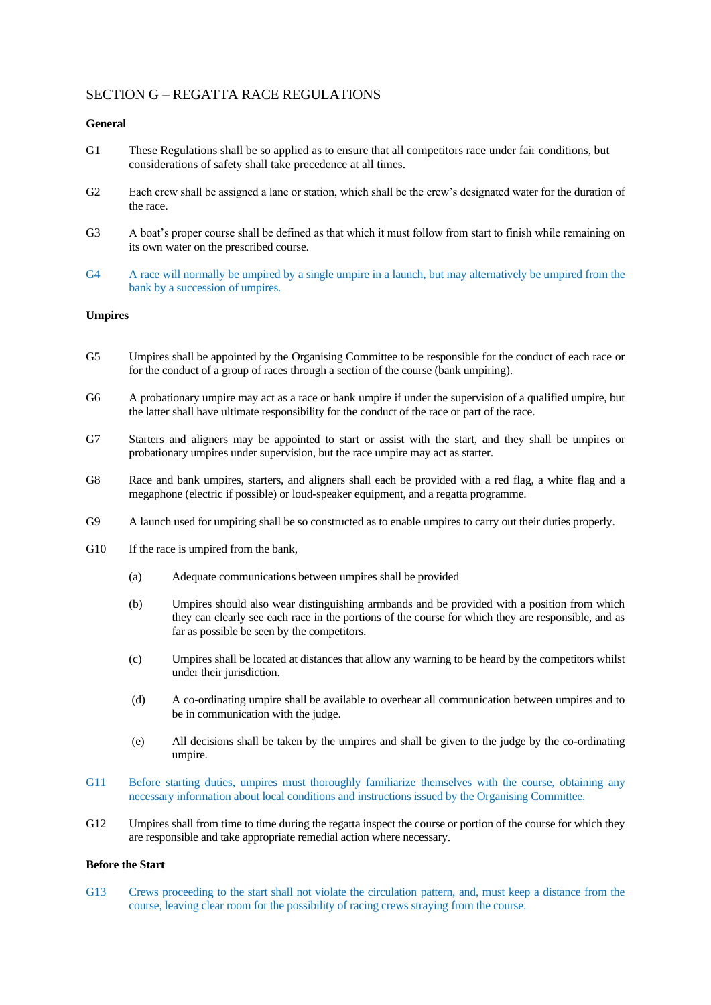## SECTION G – REGATTA RACE REGULATIONS

### **General**

- G1 These Regulations shall be so applied as to ensure that all competitors race under fair conditions, but considerations of safety shall take precedence at all times.
- G2 Each crew shall be assigned a lane or station, which shall be the crew's designated water for the duration of the race.
- G3 A boat's proper course shall be defined as that which it must follow from start to finish while remaining on its own water on the prescribed course.
- G4 A race will normally be umpired by a single umpire in a launch, but may alternatively be umpired from the bank by a succession of umpires.

### **Umpires**

- G5 Umpires shall be appointed by the Organising Committee to be responsible for the conduct of each race or for the conduct of a group of races through a section of the course (bank umpiring).
- G6 A probationary umpire may act as a race or bank umpire if under the supervision of a qualified umpire, but the latter shall have ultimate responsibility for the conduct of the race or part of the race.
- G7 Starters and aligners may be appointed to start or assist with the start, and they shall be umpires or probationary umpires under supervision, but the race umpire may act as starter.
- G8 Race and bank umpires, starters, and aligners shall each be provided with a red flag, a white flag and a megaphone (electric if possible) or loud-speaker equipment, and a regatta programme.
- G9 A launch used for umpiring shall be so constructed as to enable umpires to carry out their duties properly.
- G10 If the race is umpired from the bank,
	- (a) Adequate communications between umpires shall be provided
	- (b) Umpires should also wear distinguishing armbands and be provided with a position from which they can clearly see each race in the portions of the course for which they are responsible, and as far as possible be seen by the competitors.
	- (c) Umpires shall be located at distances that allow any warning to be heard by the competitors whilst under their jurisdiction.
	- (d) A co-ordinating umpire shall be available to overhear all communication between umpires and to be in communication with the judge.
	- (e) All decisions shall be taken by the umpires and shall be given to the judge by the co-ordinating umpire.
- G11 Before starting duties, umpires must thoroughly familiarize themselves with the course, obtaining any necessary information about local conditions and instructions issued by the Organising Committee.
- G12 Umpires shall from time to time during the regatta inspect the course or portion of the course for which they are responsible and take appropriate remedial action where necessary.

### **Before the Start**

G13 Crews proceeding to the start shall not violate the circulation pattern, and, must keep a distance from the course, leaving clear room for the possibility of racing crews straying from the course.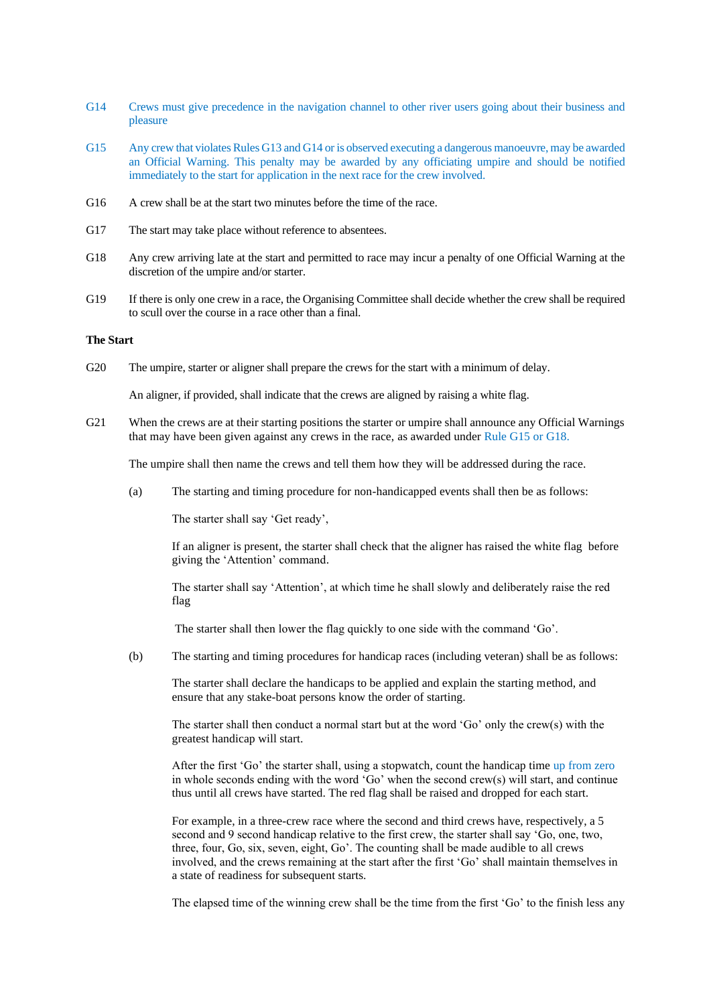- G14 Crews must give precedence in the navigation channel to other river users going about their business and pleasure
- G15 Any crew that violates Rules G13 and G14 or is observed executing a dangerous manoeuvre, may be awarded an Official Warning. This penalty may be awarded by any officiating umpire and should be notified immediately to the start for application in the next race for the crew involved.
- G16 A crew shall be at the start two minutes before the time of the race.
- G17 The start may take place without reference to absentees.
- G18 Any crew arriving late at the start and permitted to race may incur a penalty of one Official Warning at the discretion of the umpire and/or starter.
- G19 If there is only one crew in a race, the Organising Committee shall decide whether the crew shall be required to scull over the course in a race other than a final.

### **The Start**

G20 The umpire, starter or aligner shall prepare the crews for the start with a minimum of delay.

An aligner, if provided, shall indicate that the crews are aligned by raising a white flag.

G21 When the crews are at their starting positions the starter or umpire shall announce any Official Warnings that may have been given against any crews in the race, as awarded under Rule G15 or G18.

The umpire shall then name the crews and tell them how they will be addressed during the race.

(a) The starting and timing procedure for non-handicapped events shall then be as follows:

The starter shall say 'Get ready',

If an aligner is present, the starter shall check that the aligner has raised the white flag before giving the 'Attention' command.

The starter shall say 'Attention', at which time he shall slowly and deliberately raise the red flag

The starter shall then lower the flag quickly to one side with the command 'Go'.

(b) The starting and timing procedures for handicap races (including veteran) shall be as follows:

The starter shall declare the handicaps to be applied and explain the starting method, and ensure that any stake-boat persons know the order of starting.

The starter shall then conduct a normal start but at the word 'Go' only the crew(s) with the greatest handicap will start.

After the first 'Go' the starter shall, using a stopwatch, count the handicap time up from zero in whole seconds ending with the word 'Go' when the second crew(s) will start, and continue thus until all crews have started. The red flag shall be raised and dropped for each start.

For example, in a three-crew race where the second and third crews have, respectively, a 5 second and 9 second handicap relative to the first crew, the starter shall say 'Go, one, two, three, four, Go, six, seven, eight, Go'. The counting shall be made audible to all crews involved, and the crews remaining at the start after the first 'Go' shall maintain themselves in a state of readiness for subsequent starts.

The elapsed time of the winning crew shall be the time from the first 'Go' to the finish less any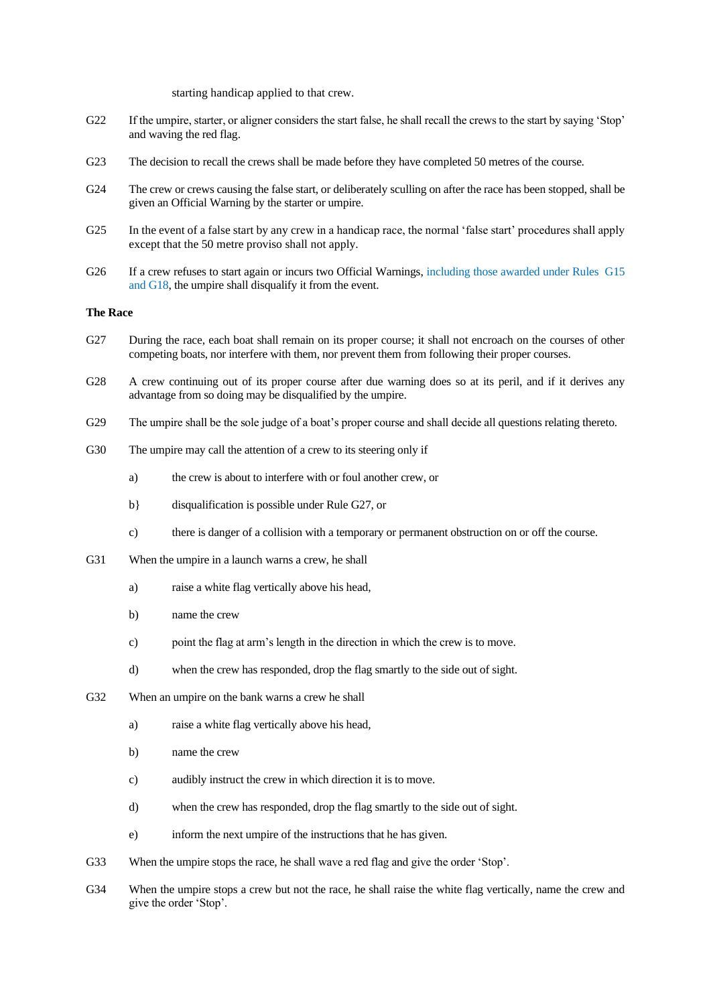starting handicap applied to that crew.

- G22 If the umpire, starter, or aligner considers the start false, he shall recall the crews to the start by saying 'Stop' and waving the red flag.
- G23 The decision to recall the crews shall be made before they have completed 50 metres of the course.
- G24 The crew or crews causing the false start, or deliberately sculling on after the race has been stopped, shall be given an Official Warning by the starter or umpire.
- G25 In the event of a false start by any crew in a handicap race, the normal 'false start' procedures shall apply except that the 50 metre proviso shall not apply.
- G26 If a crew refuses to start again or incurs two Official Warnings, including those awarded under Rules G15 and G18, the umpire shall disqualify it from the event.

### **The Race**

- G27 During the race, each boat shall remain on its proper course; it shall not encroach on the courses of other competing boats, nor interfere with them, nor prevent them from following their proper courses.
- G28 A crew continuing out of its proper course after due warning does so at its peril, and if it derives any advantage from so doing may be disqualified by the umpire.
- G29 The umpire shall be the sole judge of a boat's proper course and shall decide all questions relating thereto.
- G30 The umpire may call the attention of a crew to its steering only if
	- a) the crew is about to interfere with or foul another crew, or
	- b} disqualification is possible under Rule G27, or
	- c) there is danger of a collision with a temporary or permanent obstruction on or off the course.
- G31 When the umpire in a launch warns a crew, he shall
	- a) raise a white flag vertically above his head,
	- b) name the crew
	- c) point the flag at arm's length in the direction in which the crew is to move.
	- d) when the crew has responded, drop the flag smartly to the side out of sight.
- G32 When an umpire on the bank warns a crew he shall
	- a) raise a white flag vertically above his head,
	- b) name the crew
	- c) audibly instruct the crew in which direction it is to move.
	- d) when the crew has responded, drop the flag smartly to the side out of sight.
	- e) inform the next umpire of the instructions that he has given.
- G33 When the umpire stops the race, he shall wave a red flag and give the order 'Stop'.
- G34 When the umpire stops a crew but not the race, he shall raise the white flag vertically, name the crew and give the order 'Stop'.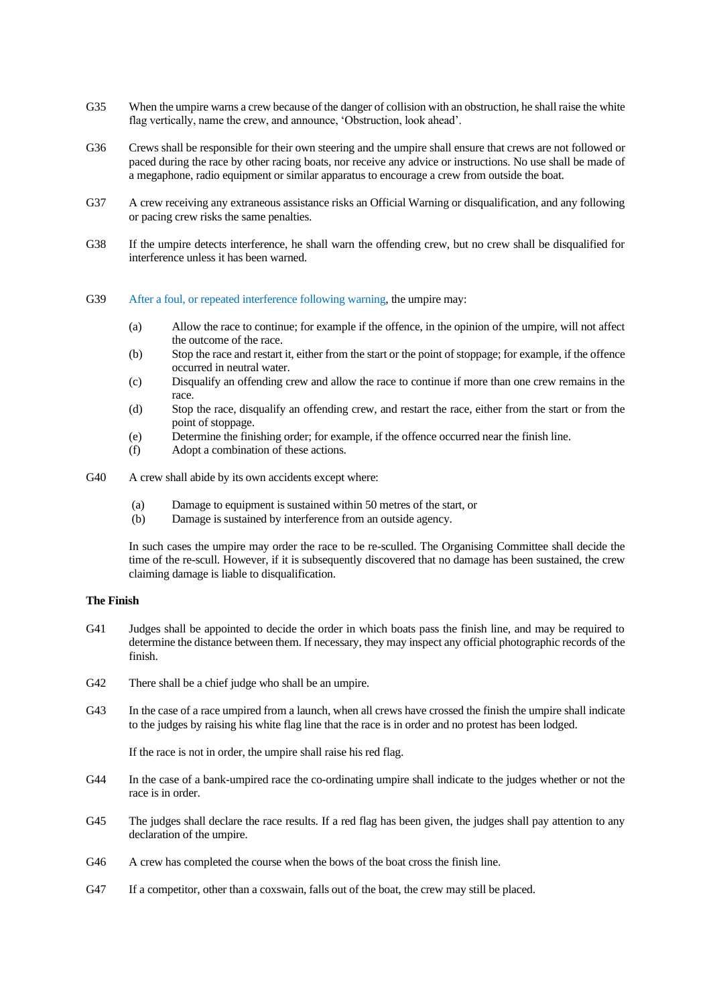- G35 When the umpire warns a crew because of the danger of collision with an obstruction, he shall raise the white flag vertically, name the crew, and announce, 'Obstruction, look ahead'.
- G36 Crews shall be responsible for their own steering and the umpire shall ensure that crews are not followed or paced during the race by other racing boats, nor receive any advice or instructions. No use shall be made of a megaphone, radio equipment or similar apparatus to encourage a crew from outside the boat.
- G37 A crew receiving any extraneous assistance risks an Official Warning or disqualification, and any following or pacing crew risks the same penalties.
- G38 If the umpire detects interference, he shall warn the offending crew, but no crew shall be disqualified for interference unless it has been warned.
- G39 After a foul, or repeated interference following warning, the umpire may:
	- (a) Allow the race to continue; for example if the offence, in the opinion of the umpire, will not affect the outcome of the race.
	- (b) Stop the race and restart it, either from the start or the point of stoppage; for example, if the offence occurred in neutral water.
	- (c) Disqualify an offending crew and allow the race to continue if more than one crew remains in the race.
	- (d) Stop the race, disqualify an offending crew, and restart the race, either from the start or from the point of stoppage.
	- (e) Determine the finishing order; for example, if the offence occurred near the finish line.
	- (f) Adopt a combination of these actions.
- G40 A crew shall abide by its own accidents except where:
	- (a) Damage to equipment is sustained within 50 metres of the start, or
	- (b) Damage is sustained by interference from an outside agency.

In such cases the umpire may order the race to be re-sculled. The Organising Committee shall decide the time of the re-scull. However, if it is subsequently discovered that no damage has been sustained, the crew claiming damage is liable to disqualification.

#### **The Finish**

- G41 Judges shall be appointed to decide the order in which boats pass the finish line, and may be required to determine the distance between them. If necessary, they may inspect any official photographic records of the finish.
- G42 There shall be a chief judge who shall be an umpire.
- G43 In the case of a race umpired from a launch, when all crews have crossed the finish the umpire shall indicate to the judges by raising his white flag line that the race is in order and no protest has been lodged.

If the race is not in order, the umpire shall raise his red flag.

- G44 In the case of a bank-umpired race the co-ordinating umpire shall indicate to the judges whether or not the race is in order.
- G45 The judges shall declare the race results. If a red flag has been given, the judges shall pay attention to any declaration of the umpire.
- G46 A crew has completed the course when the bows of the boat cross the finish line.
- G47 If a competitor, other than a coxswain, falls out of the boat, the crew may still be placed.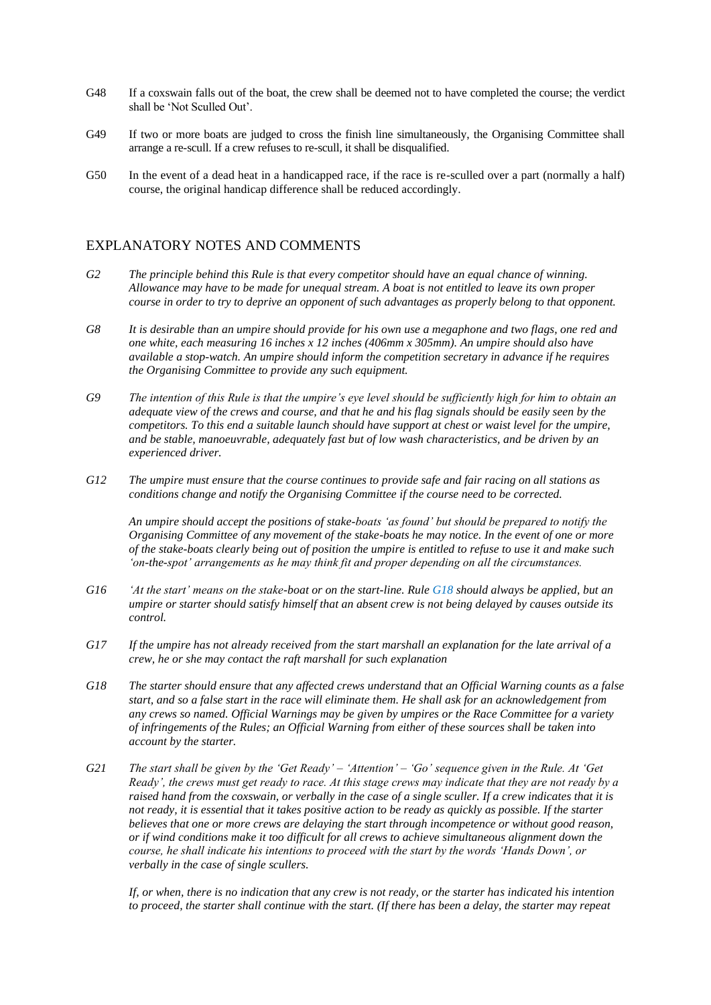- G48 If a coxswain falls out of the boat, the crew shall be deemed not to have completed the course; the verdict shall be 'Not Sculled Out'.
- G49 If two or more boats are judged to cross the finish line simultaneously, the Organising Committee shall arrange a re-scull. If a crew refuses to re-scull, it shall be disqualified.
- G50 In the event of a dead heat in a handicapped race, if the race is re-sculled over a part (normally a half) course, the original handicap difference shall be reduced accordingly.

### EXPLANATORY NOTES AND COMMENTS

- *G2 The principle behind this Rule is that every competitor should have an equal chance of winning. Allowance may have to be made for unequal stream. A boat is not entitled to leave its own proper course in order to try to deprive an opponent of such advantages as properly belong to that opponent.*
- *G8 It is desirable than an umpire should provide for his own use a megaphone and two flags, one red and one white, each measuring 16 inches x 12 inches (406mm x 305mm). An umpire should also have available a stop-watch. An umpire should inform the competition secretary in advance if he requires the Organising Committee to provide any such equipment.*
- *G9 The intention of this Rule is that the umpire's eye level should be sufficiently high for him to obtain an adequate view of the crews and course, and that he and his flag signals should be easily seen by the competitors. To this end a suitable launch should have support at chest or waist level for the umpire, and be stable, manoeuvrable, adequately fast but of low wash characteristics, and be driven by an experienced driver.*
- *G12 The umpire must ensure that the course continues to provide safe and fair racing on all stations as conditions change and notify the Organising Committee if the course need to be corrected.*

*An umpire should accept the positions of stake-boats 'as found' but should be prepared to notify the Organising Committee of any movement of the stake-boats he may notice. In the event of one or more of the stake-boats clearly being out of position the umpire is entitled to refuse to use it and make such 'on-the-spot' arrangements as he may think fit and proper depending on all the circumstances.*

- *G16 'At the start' means on the stake-boat or on the start-line. Rule G18 should always be applied, but an umpire or starter should satisfy himself that an absent crew is not being delayed by causes outside its control.*
- *G17 If the umpire has not already received from the start marshall an explanation for the late arrival of a crew, he or she may contact the raft marshall for such explanation*
- *G18 The starter should ensure that any affected crews understand that an Official Warning counts as a false start, and so a false start in the race will eliminate them. He shall ask for an acknowledgement from any crews so named. Official Warnings may be given by umpires or the Race Committee for a variety of infringements of the Rules; an Official Warning from either of these sources shall be taken into account by the starter.*
- *G21 The start shall be given by the 'Get Ready' – 'Attention' – 'Go' sequence given in the Rule. At 'Get Ready', the crews must get ready to race. At this stage crews may indicate that they are not ready by a raised hand from the coxswain, or verbally in the case of a single sculler. If a crew indicates that it is not ready, it is essential that it takes positive action to be ready as quickly as possible. If the starter believes that one or more crews are delaying the start through incompetence or without good reason, or if wind conditions make it too difficult for all crews to achieve simultaneous alignment down the course, he shall indicate his intentions to proceed with the start by the words 'Hands Down', or verbally in the case of single scullers.*

*If, or when, there is no indication that any crew is not ready, or the starter has indicated his intention to proceed, the starter shall continue with the start. (If there has been a delay, the starter may repeat*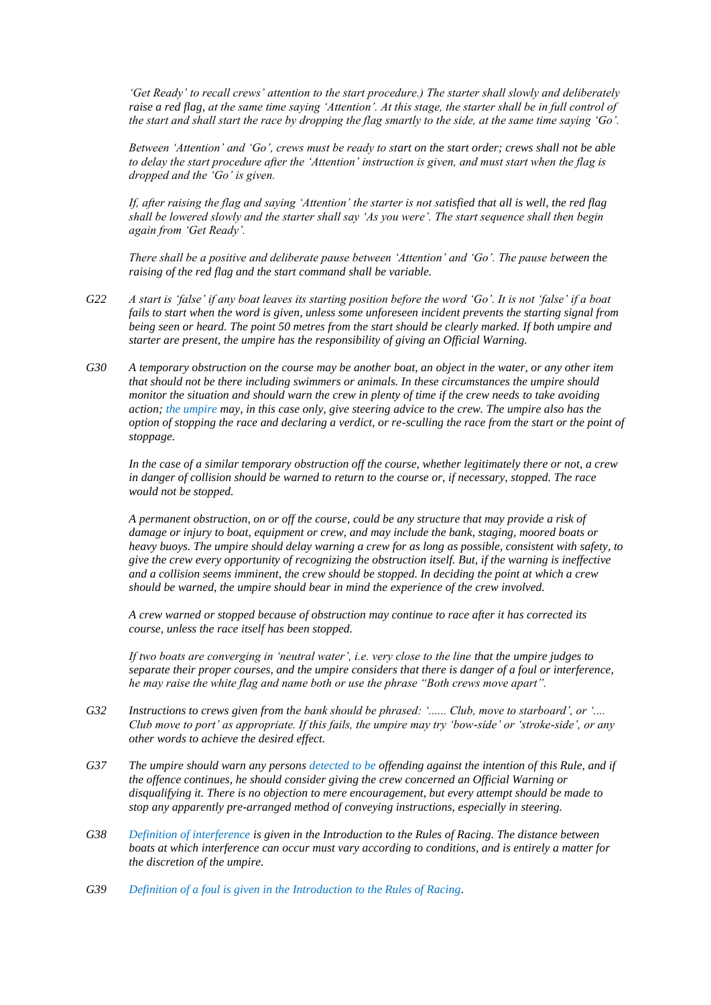*'Get Ready' to recall crews' attention to the start procedure.) The starter shall slowly and deliberately raise a red flag, at the same time saying 'Attention'. At this stage, the starter shall be in full control of the start and shall start the race by dropping the flag smartly to the side, at the same time saying 'Go'.*

*Between 'Attention' and 'Go', crews must be ready to start on the start order; crews shall not be able to delay the start procedure after the 'Attention' instruction is given, and must start when the flag is dropped and the 'Go' is given.*

*If, after raising the flag and saying 'Attention' the starter is not satisfied that all is well, the red flag shall be lowered slowly and the starter shall say 'As you were'. The start sequence shall then begin again from 'Get Ready'.*

*There shall be a positive and deliberate pause between 'Attention' and 'Go'. The pause between the raising of the red flag and the start command shall be variable.*

- *G22 A start is 'false' if any boat leaves its starting position before the word 'Go'. It is not 'false' if a boat fails to start when the word is given, unless some unforeseen incident prevents the starting signal from being seen or heard. The point 50 metres from the start should be clearly marked. If both umpire and starter are present, the umpire has the responsibility of giving an Official Warning.*
- *G30 A temporary obstruction on the course may be another boat, an object in the water, or any other item that should not be there including swimmers or animals. In these circumstances the umpire should monitor the situation and should warn the crew in plenty of time if the crew needs to take avoiding action; the umpire may, in this case only, give steering advice to the crew. The umpire also has the option of stopping the race and declaring a verdict, or re-sculling the race from the start or the point of stoppage.*

*In the case of a similar temporary obstruction off the course, whether legitimately there or not, a crew in danger of collision should be warned to return to the course or, if necessary, stopped. The race would not be stopped.*

*A permanent obstruction, on or off the course, could be any structure that may provide a risk of damage or injury to boat, equipment or crew, and may include the bank, staging, moored boats or heavy buoys. The umpire should delay warning a crew for as long as possible, consistent with safety, to give the crew every opportunity of recognizing the obstruction itself. But, if the warning is ineffective and a collision seems imminent, the crew should be stopped. In deciding the point at which a crew should be warned, the umpire should bear in mind the experience of the crew involved.*

*A crew warned or stopped because of obstruction may continue to race after it has corrected its course, unless the race itself has been stopped.*

*If two boats are converging in 'neutral water', i.e. very close to the line that the umpire judges to separate their proper courses, and the umpire considers that there is danger of a foul or interference, he may raise the white flag and name both or use the phrase "Both crews move apart".* 

- *G32 Instructions to crews given from the bank should be phrased: '...... Club, move to starboard', or '.... Club move to port' as appropriate. If this fails, the umpire may try 'bow-side' or 'stroke-side', or any other words to achieve the desired effect.*
- *G37 The umpire should warn any persons detected to be offending against the intention of this Rule, and if the offence continues, he should consider giving the crew concerned an Official Warning or disqualifying it. There is no objection to mere encouragement, but every attempt should be made to stop any apparently pre-arranged method of conveying instructions, especially in steering.*
- *G38 Definition of interference is given in the Introduction to the Rules of Racing. The distance between boats at which interference can occur must vary according to conditions, and is entirely a matter for the discretion of the umpire.*
- *G39 Definition of a foul is given in the Introduction to the Rules of Racing.*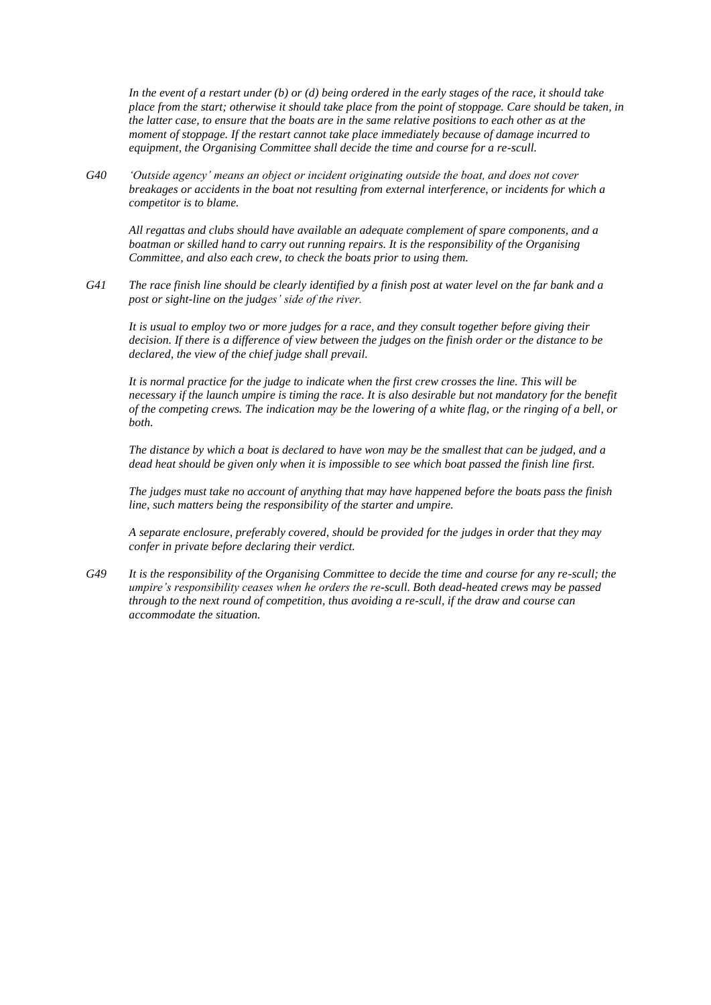*In the event of a restart under (b) or (d) being ordered in the early stages of the race, it should take place from the start; otherwise it should take place from the point of stoppage. Care should be taken, in the latter case, to ensure that the boats are in the same relative positions to each other as at the moment of stoppage. If the restart cannot take place immediately because of damage incurred to equipment, the Organising Committee shall decide the time and course for a re-scull.*

*G40 'Outside agency' means an object or incident originating outside the boat, and does not cover breakages or accidents in the boat not resulting from external interference, or incidents for which a competitor is to blame.*

*All regattas and clubs should have available an adequate complement of spare components, and a boatman or skilled hand to carry out running repairs. It is the responsibility of the Organising Committee, and also each crew, to check the boats prior to using them.*

*G41 The race finish line should be clearly identified by a finish post at water level on the far bank and a post or sight-line on the judges' side of the river.*

*It is usual to employ two or more judges for a race, and they consult together before giving their decision. If there is a difference of view between the judges on the finish order or the distance to be declared, the view of the chief judge shall prevail.*

*It is normal practice for the judge to indicate when the first crew crosses the line. This will be necessary if the launch umpire is timing the race. It is also desirable but not mandatory for the benefit of the competing crews. The indication may be the lowering of a white flag, or the ringing of a bell, or both.* 

*The distance by which a boat is declared to have won may be the smallest that can be judged, and a dead heat should be given only when it is impossible to see which boat passed the finish line first.*

*The judges must take no account of anything that may have happened before the boats pass the finish line, such matters being the responsibility of the starter and umpire.*

*A separate enclosure, preferably covered, should be provided for the judges in order that they may confer in private before declaring their verdict.*

*G49 It is the responsibility of the Organising Committee to decide the time and course for any re-scull; the umpire's responsibility ceases when he orders the re-scull. Both dead-heated crews may be passed through to the next round of competition, thus avoiding a re-scull, if the draw and course can accommodate the situation.*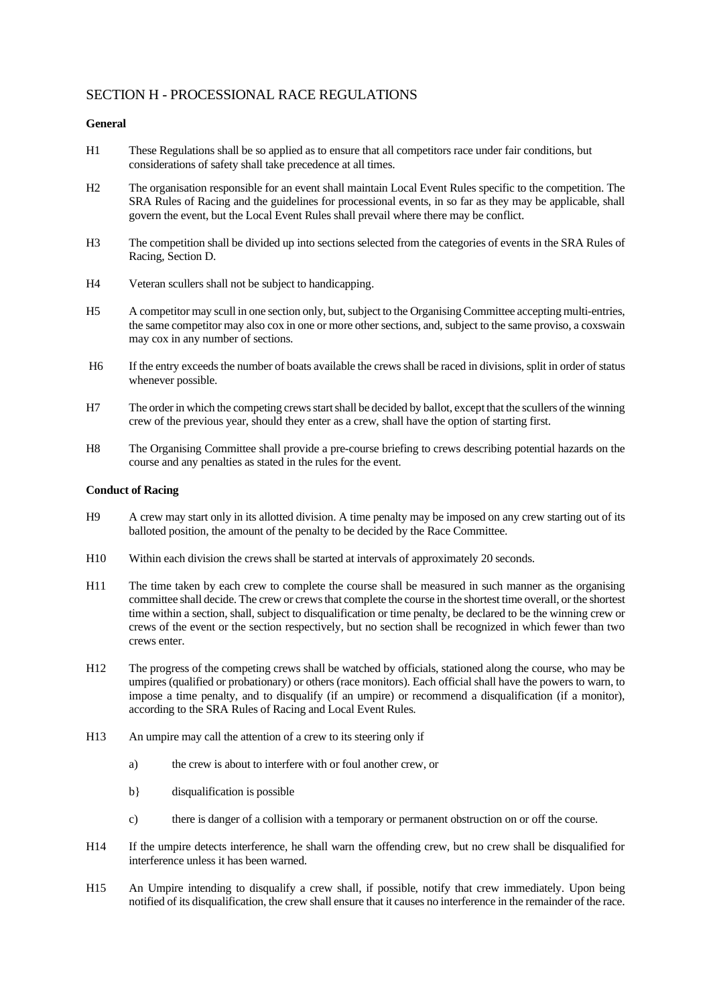## SECTION H - PROCESSIONAL RACE REGULATIONS

### **General**

- H1 These Regulations shall be so applied as to ensure that all competitors race under fair conditions, but considerations of safety shall take precedence at all times.
- H2 The organisation responsible for an event shall maintain Local Event Rules specific to the competition. The SRA Rules of Racing and the guidelines for processional events, in so far as they may be applicable, shall govern the event, but the Local Event Rules shall prevail where there may be conflict.
- H3 The competition shall be divided up into sections selected from the categories of events in the SRA Rules of Racing, Section D.
- H4 Veteran scullers shall not be subject to handicapping.
- H5 A competitor may scull in one section only, but, subject to the Organising Committee accepting multi-entries, the same competitor may also cox in one or more other sections, and, subject to the same proviso, a coxswain may cox in any number of sections.
- H6 If the entry exceeds the number of boats available the crews shall be raced in divisions, split in order of status whenever possible.
- H7 The order in which the competing crews start shall be decided by ballot, except that the scullers of the winning crew of the previous year, should they enter as a crew, shall have the option of starting first.
- H8 The Organising Committee shall provide a pre-course briefing to crews describing potential hazards on the course and any penalties as stated in the rules for the event.

### **Conduct of Racing**

- H9 A crew may start only in its allotted division. A time penalty may be imposed on any crew starting out of its balloted position, the amount of the penalty to be decided by the Race Committee.
- H10 Within each division the crews shall be started at intervals of approximately 20 seconds.
- H11 The time taken by each crew to complete the course shall be measured in such manner as the organising committee shall decide. The crew or crews that complete the course in the shortest time overall, or the shortest time within a section, shall, subject to disqualification or time penalty, be declared to be the winning crew or crews of the event or the section respectively, but no section shall be recognized in which fewer than two crews enter.
- H12 The progress of the competing crews shall be watched by officials, stationed along the course, who may be umpires (qualified or probationary) or others (race monitors). Each official shall have the powers to warn, to impose a time penalty, and to disqualify (if an umpire) or recommend a disqualification (if a monitor), according to the SRA Rules of Racing and Local Event Rules.
- H13 An umpire may call the attention of a crew to its steering only if
	- a) the crew is about to interfere with or foul another crew, or
	- b} disqualification is possible
	- c) there is danger of a collision with a temporary or permanent obstruction on or off the course.
- H14 If the umpire detects interference, he shall warn the offending crew, but no crew shall be disqualified for interference unless it has been warned.
- H15 An Umpire intending to disqualify a crew shall, if possible, notify that crew immediately. Upon being notified of its disqualification, the crew shall ensure that it causes no interference in the remainder of the race.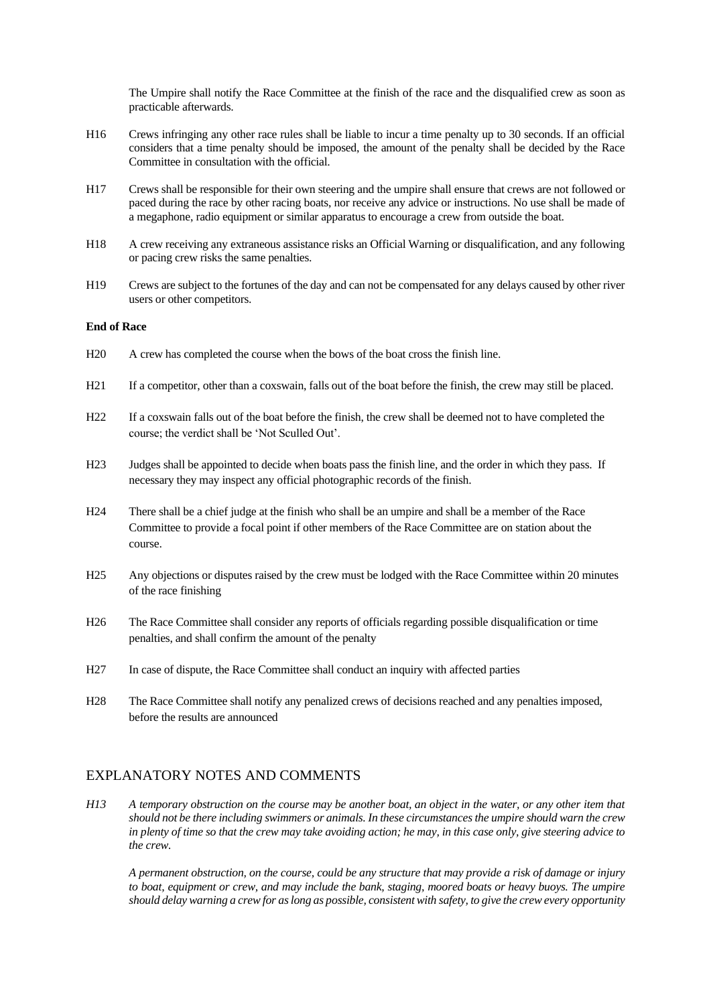The Umpire shall notify the Race Committee at the finish of the race and the disqualified crew as soon as practicable afterwards.

- H16 Crews infringing any other race rules shall be liable to incur a time penalty up to 30 seconds. If an official considers that a time penalty should be imposed, the amount of the penalty shall be decided by the Race Committee in consultation with the official.
- H17 Crews shall be responsible for their own steering and the umpire shall ensure that crews are not followed or paced during the race by other racing boats, nor receive any advice or instructions. No use shall be made of a megaphone, radio equipment or similar apparatus to encourage a crew from outside the boat.
- H18 A crew receiving any extraneous assistance risks an Official Warning or disqualification, and any following or pacing crew risks the same penalties.
- H19 Crews are subject to the fortunes of the day and can not be compensated for any delays caused by other river users or other competitors.

### **End of Race**

- H20 A crew has completed the course when the bows of the boat cross the finish line.
- H21 If a competitor, other than a coxswain, falls out of the boat before the finish, the crew may still be placed.
- H22 If a coxswain falls out of the boat before the finish, the crew shall be deemed not to have completed the course; the verdict shall be 'Not Sculled Out'.
- H23 Judges shall be appointed to decide when boats pass the finish line, and the order in which they pass. If necessary they may inspect any official photographic records of the finish.
- H24 There shall be a chief judge at the finish who shall be an umpire and shall be a member of the Race Committee to provide a focal point if other members of the Race Committee are on station about the course.
- H25 Any objections or disputes raised by the crew must be lodged with the Race Committee within 20 minutes of the race finishing
- H26 The Race Committee shall consider any reports of officials regarding possible disqualification or time penalties, and shall confirm the amount of the penalty
- H27 In case of dispute, the Race Committee shall conduct an inquiry with affected parties
- H28 The Race Committee shall notify any penalized crews of decisions reached and any penalties imposed, before the results are announced

### EXPLANATORY NOTES AND COMMENTS

*H13 A temporary obstruction on the course may be another boat, an object in the water, or any other item that should not be there including swimmers or animals. In these circumstances the umpire should warn the crew in plenty of time so that the crew may take avoiding action; he may, in this case only, give steering advice to the crew.* 

*A permanent obstruction, on the course, could be any structure that may provide a risk of damage or injury to boat, equipment or crew, and may include the bank, staging, moored boats or heavy buoys. The umpire should delay warning a crew for as long as possible, consistent with safety, to give the crew every opportunity*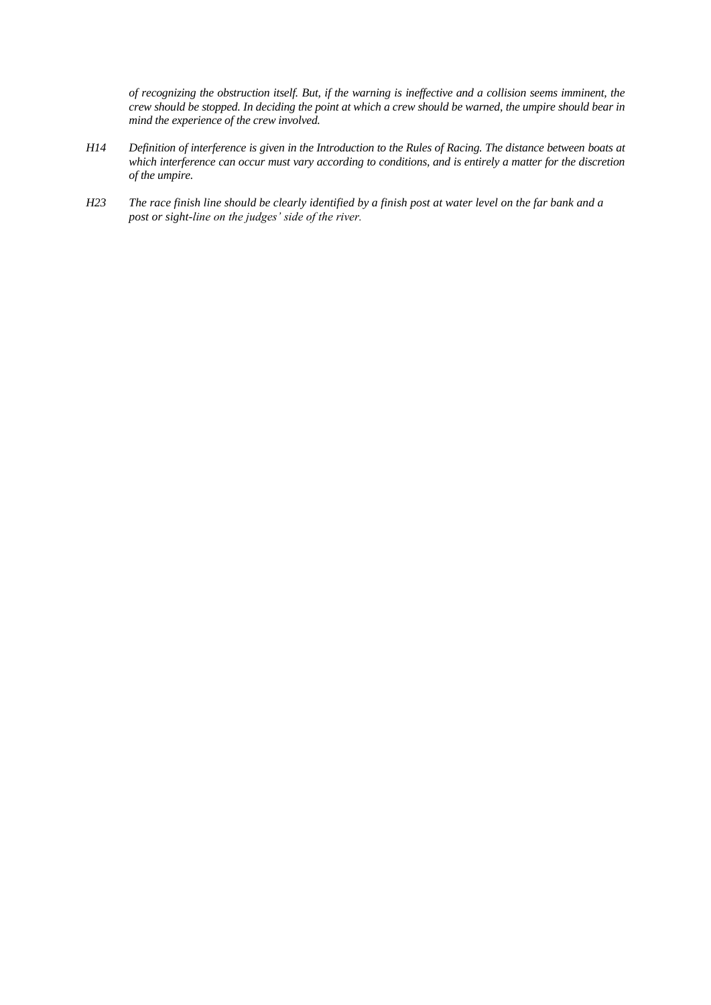*of recognizing the obstruction itself. But, if the warning is ineffective and a collision seems imminent, the crew should be stopped. In deciding the point at which a crew should be warned, the umpire should bear in mind the experience of the crew involved.*

- *H14 Definition of interference is given in the Introduction to the Rules of Racing. The distance between boats at which interference can occur must vary according to conditions, and is entirely a matter for the discretion of the umpire.*
- *H23 The race finish line should be clearly identified by a finish post at water level on the far bank and a post or sight-line on the judges' side of the river.*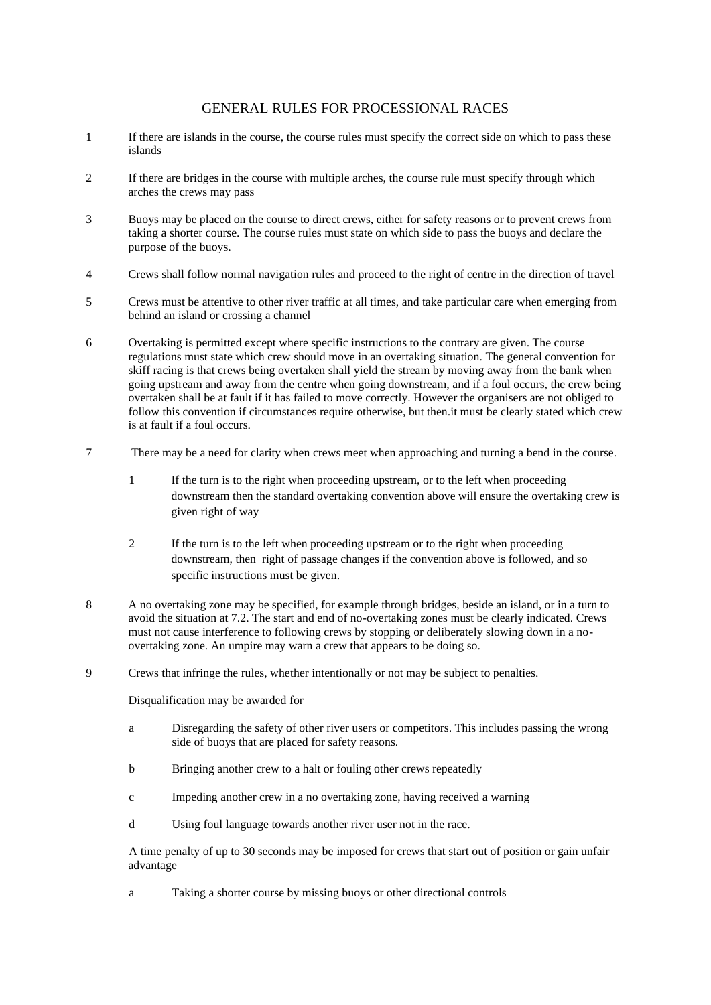### GENERAL RULES FOR PROCESSIONAL RACES

- 1 If there are islands in the course, the course rules must specify the correct side on which to pass these islands
- 2 If there are bridges in the course with multiple arches, the course rule must specify through which arches the crews may pass
- 3 Buoys may be placed on the course to direct crews, either for safety reasons or to prevent crews from taking a shorter course. The course rules must state on which side to pass the buoys and declare the purpose of the buoys.
- 4 Crews shall follow normal navigation rules and proceed to the right of centre in the direction of travel
- 5 Crews must be attentive to other river traffic at all times, and take particular care when emerging from behind an island or crossing a channel
- 6 Overtaking is permitted except where specific instructions to the contrary are given. The course regulations must state which crew should move in an overtaking situation. The general convention for skiff racing is that crews being overtaken shall yield the stream by moving away from the bank when going upstream and away from the centre when going downstream, and if a foul occurs, the crew being overtaken shall be at fault if it has failed to move correctly. However the organisers are not obliged to follow this convention if circumstances require otherwise, but then.it must be clearly stated which crew is at fault if a foul occurs.
- 7 There may be a need for clarity when crews meet when approaching and turning a bend in the course.
	- 1 If the turn is to the right when proceeding upstream, or to the left when proceeding downstream then the standard overtaking convention above will ensure the overtaking crew is given right of way
	- 2 If the turn is to the left when proceeding upstream or to the right when proceeding downstream, then right of passage changes if the convention above is followed, and so specific instructions must be given.
- 8 A no overtaking zone may be specified, for example through bridges, beside an island, or in a turn to avoid the situation at 7.2. The start and end of no-overtaking zones must be clearly indicated. Crews must not cause interference to following crews by stopping or deliberately slowing down in a noovertaking zone. An umpire may warn a crew that appears to be doing so.
- 9 Crews that infringe the rules, whether intentionally or not may be subject to penalties.

Disqualification may be awarded for

- a Disregarding the safety of other river users or competitors. This includes passing the wrong side of buoys that are placed for safety reasons.
- b Bringing another crew to a halt or fouling other crews repeatedly
- c Impeding another crew in a no overtaking zone, having received a warning
- d Using foul language towards another river user not in the race.

A time penalty of up to 30 seconds may be imposed for crews that start out of position or gain unfair advantage

a Taking a shorter course by missing buoys or other directional controls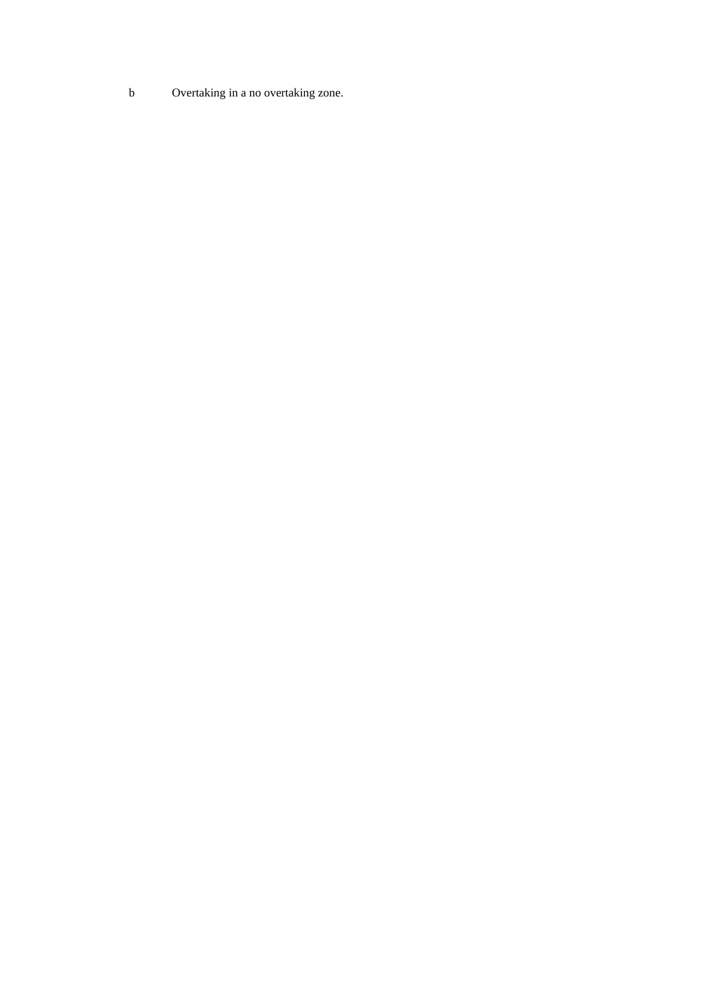b Overtaking in a no overtaking zone.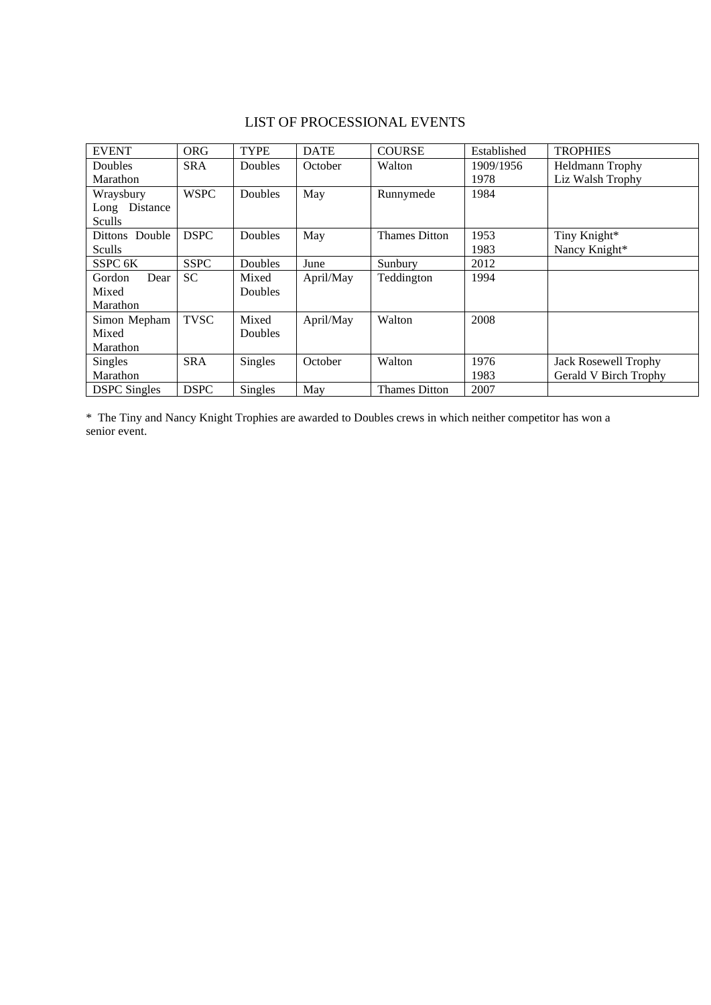## LIST OF PROCESSIONAL EVENTS

| <b>EVENT</b>        | <b>ORG</b>  | <b>TYPE</b> | <b>DATE</b> | <b>COURSE</b>        | Established | <b>TROPHIES</b>             |
|---------------------|-------------|-------------|-------------|----------------------|-------------|-----------------------------|
| Doubles             | <b>SRA</b>  | Doubles     | October     | Walton               | 1909/1956   | Heldmann Trophy             |
| Marathon            |             |             |             |                      | 1978        | Liz Walsh Trophy            |
| Wraysbury           | <b>WSPC</b> | Doubles     | May         | Runnymede            | 1984        |                             |
| Long Distance       |             |             |             |                      |             |                             |
| Sculls              |             |             |             |                      |             |                             |
| Dittons Double      | <b>DSPC</b> | Doubles     | May         | Thames Ditton        | 1953        | Tiny Knight*                |
| Sculls              |             |             |             |                      | 1983        | Nancy Knight*               |
| SSPC 6K             | <b>SSPC</b> | Doubles     | June        | Sunbury              | 2012        |                             |
| Gordon<br>Dear      | <b>SC</b>   | Mixed       | April/May   | Teddington           | 1994        |                             |
| Mixed               |             | Doubles     |             |                      |             |                             |
| Marathon            |             |             |             |                      |             |                             |
| Simon Mepham        | <b>TVSC</b> | Mixed       | April/May   | Walton               | 2008        |                             |
| Mixed               |             | Doubles     |             |                      |             |                             |
| Marathon            |             |             |             |                      |             |                             |
| <b>Singles</b>      | <b>SRA</b>  | Singles     | October     | Walton               | 1976        | <b>Jack Rosewell Trophy</b> |
| Marathon            |             |             |             |                      | 1983        | Gerald V Birch Trophy       |
| <b>DSPC</b> Singles | <b>DSPC</b> | Singles     | May         | <b>Thames Ditton</b> | 2007        |                             |

\* The Tiny and Nancy Knight Trophies are awarded to Doubles crews in which neither competitor has won a senior event.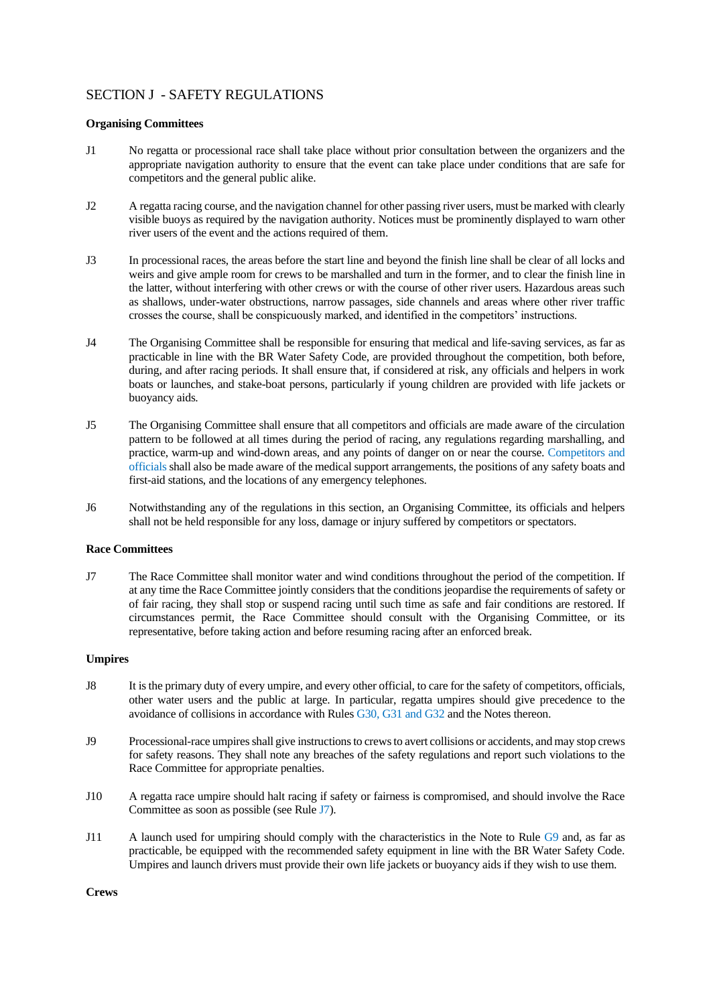## SECTION J - SAFETY REGULATIONS

### **Organising Committees**

- J1 No regatta or processional race shall take place without prior consultation between the organizers and the appropriate navigation authority to ensure that the event can take place under conditions that are safe for competitors and the general public alike.
- J2 A regatta racing course, and the navigation channel for other passing river users, must be marked with clearly visible buoys as required by the navigation authority. Notices must be prominently displayed to warn other river users of the event and the actions required of them.
- J3 In processional races, the areas before the start line and beyond the finish line shall be clear of all locks and weirs and give ample room for crews to be marshalled and turn in the former, and to clear the finish line in the latter, without interfering with other crews or with the course of other river users. Hazardous areas such as shallows, under-water obstructions, narrow passages, side channels and areas where other river traffic crosses the course, shall be conspicuously marked, and identified in the competitors' instructions.
- J4 The Organising Committee shall be responsible for ensuring that medical and life-saving services, as far as practicable in line with the BR Water Safety Code, are provided throughout the competition, both before, during, and after racing periods. It shall ensure that, if considered at risk, any officials and helpers in work boats or launches, and stake-boat persons, particularly if young children are provided with life jackets or buoyancy aids.
- J5 The Organising Committee shall ensure that all competitors and officials are made aware of the circulation pattern to be followed at all times during the period of racing, any regulations regarding marshalling, and practice, warm-up and wind-down areas, and any points of danger on or near the course. Competitors and officials shall also be made aware of the medical support arrangements, the positions of any safety boats and first-aid stations, and the locations of any emergency telephones.
- J6 Notwithstanding any of the regulations in this section, an Organising Committee, its officials and helpers shall not be held responsible for any loss, damage or injury suffered by competitors or spectators.

### **Race Committees**

J7 The Race Committee shall monitor water and wind conditions throughout the period of the competition. If at any time the Race Committee jointly considers that the conditions jeopardise the requirements of safety or of fair racing, they shall stop or suspend racing until such time as safe and fair conditions are restored. If circumstances permit, the Race Committee should consult with the Organising Committee, or its representative, before taking action and before resuming racing after an enforced break.

#### **Umpires**

- J8 It is the primary duty of every umpire, and every other official, to care for the safety of competitors, officials, other water users and the public at large. In particular, regatta umpires should give precedence to the avoidance of collisions in accordance with Rules G30, G31 and G32 and the Notes thereon.
- J9 Processional-race umpires shall give instructions to crews to avert collisions or accidents, and may stop crews for safety reasons. They shall note any breaches of the safety regulations and report such violations to the Race Committee for appropriate penalties.
- J10 A regatta race umpire should halt racing if safety or fairness is compromised, and should involve the Race Committee as soon as possible (see Rule J7).
- J11 A launch used for umpiring should comply with the characteristics in the Note to Rule G9 and, as far as practicable, be equipped with the recommended safety equipment in line with the BR Water Safety Code. Umpires and launch drivers must provide their own life jackets or buoyancy aids if they wish to use them.

**Crews**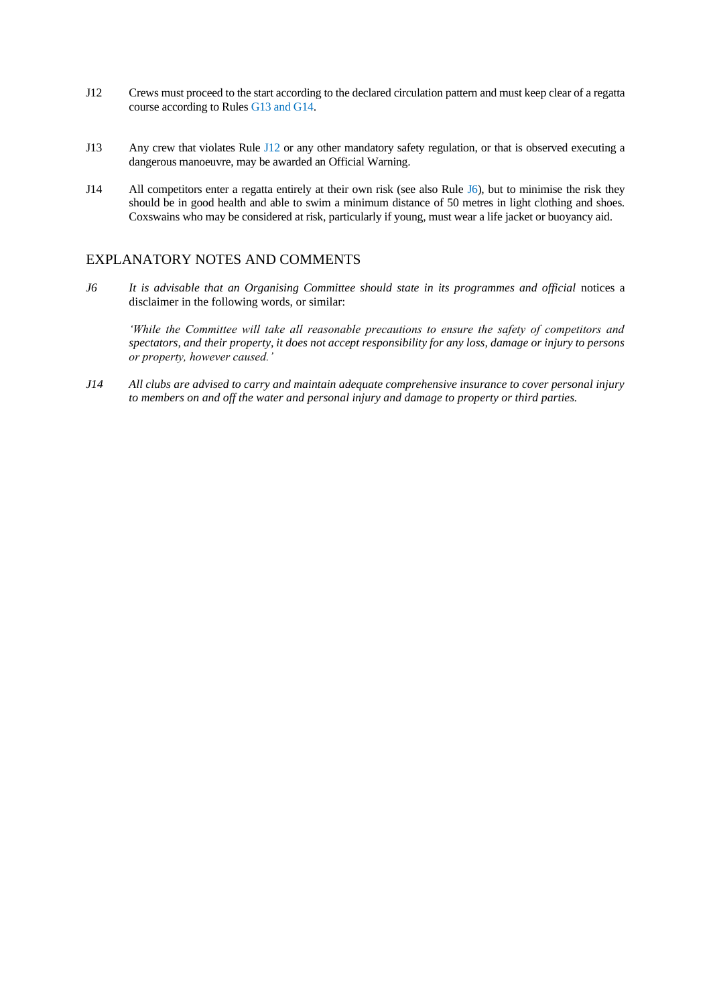- J12 Crews must proceed to the start according to the declared circulation pattern and must keep clear of a regatta course according to Rules G13 and G14.
- J13 Any crew that violates Rule J12 or any other mandatory safety regulation, or that is observed executing a dangerous manoeuvre, may be awarded an Official Warning.
- J14 All competitors enter a regatta entirely at their own risk (see also Rule J6), but to minimise the risk they should be in good health and able to swim a minimum distance of 50 metres in light clothing and shoes. Coxswains who may be considered at risk, particularly if young, must wear a life jacket or buoyancy aid.

## EXPLANATORY NOTES AND COMMENTS

*J6 It is advisable that an Organising Committee should state in its programmes and official notices a* disclaimer in the following words, or similar:

*'While the Committee will take all reasonable precautions to ensure the safety of competitors and spectators, and their property, it does not accept responsibility for any loss, damage or injury to persons or property, however caused.'*

*J14 All clubs are advised to carry and maintain adequate comprehensive insurance to cover personal injury to members on and off the water and personal injury and damage to property or third parties.*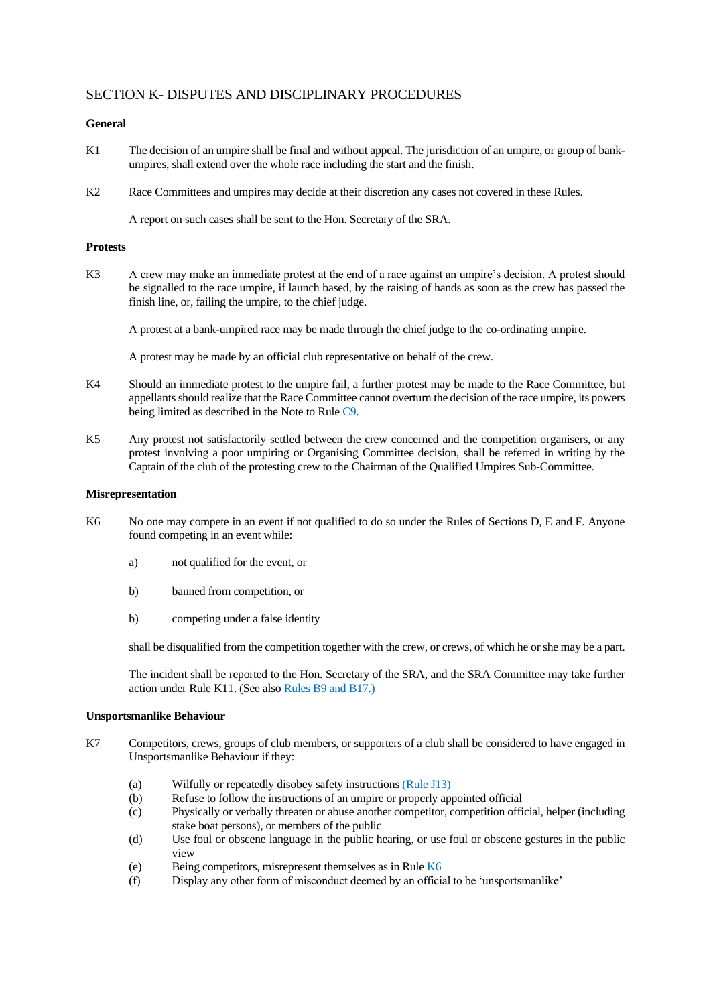## SECTION K- DISPUTES AND DISCIPLINARY PROCEDURES

### **General**

- K1 The decision of an umpire shall be final and without appeal. The jurisdiction of an umpire, or group of bankumpires, shall extend over the whole race including the start and the finish.
- K2 Race Committees and umpires may decide at their discretion any cases not covered in these Rules.

A report on such cases shall be sent to the Hon. Secretary of the SRA.

### **Protests**

K3 A crew may make an immediate protest at the end of a race against an umpire's decision. A protest should be signalled to the race umpire, if launch based, by the raising of hands as soon as the crew has passed the finish line, or, failing the umpire, to the chief judge.

A protest at a bank-umpired race may be made through the chief judge to the co-ordinating umpire.

A protest may be made by an official club representative on behalf of the crew.

- K4 Should an immediate protest to the umpire fail, a further protest may be made to the Race Committee, but appellants should realize that the Race Committee cannot overturn the decision of the race umpire, its powers being limited as described in the Note to Rule C9.
- K5 Any protest not satisfactorily settled between the crew concerned and the competition organisers, or any protest involving a poor umpiring or Organising Committee decision, shall be referred in writing by the Captain of the club of the protesting crew to the Chairman of the Qualified Umpires Sub-Committee.

### **Misrepresentation**

- K6 No one may compete in an event if not qualified to do so under the Rules of Sections D, E and F. Anyone found competing in an event while:
	- a) not qualified for the event, or
	- b) banned from competition, or
	- b) competing under a false identity

shall be disqualified from the competition together with the crew, or crews, of which he or she may be a part.

The incident shall be reported to the Hon. Secretary of the SRA, and the SRA Committee may take further action under Rule K11. (See also Rules B9 and B17.)

### **Unsportsmanlike Behaviour**

- K7 Competitors, crews, groups of club members, or supporters of a club shall be considered to have engaged in Unsportsmanlike Behaviour if they:
	- (a) Wilfully or repeatedly disobey safety instructions (Rule J13)
	- (b) Refuse to follow the instructions of an umpire or properly appointed official
	- (c) Physically or verbally threaten or abuse another competitor, competition official, helper (including stake boat persons), or members of the public
	- (d) Use foul or obscene language in the public hearing, or use foul or obscene gestures in the public view
	- (e) Being competitors, misrepresent themselves as in Rule K6
	- (f) Display any other form of misconduct deemed by an official to be 'unsportsmanlike'